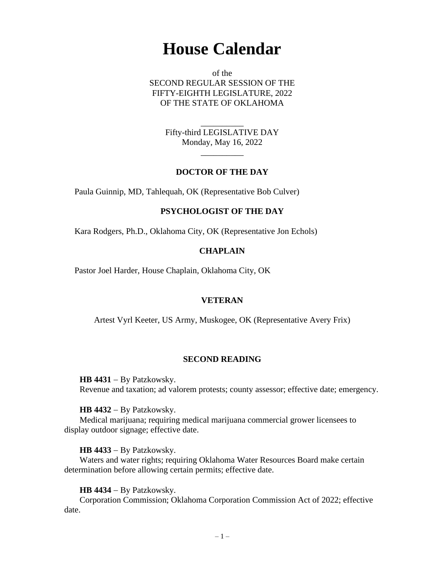# **House Calendar**

of the SECOND REGULAR SESSION OF THE FIFTY-EIGHTH LEGISLATURE, 2022 OF THE STATE OF OKLAHOMA

> Fifty-third LEGISLATIVE DAY Monday, May 16, 2022

> > $\overline{\phantom{a}}$

\_\_\_\_\_\_\_\_\_\_

## **DOCTOR OF THE DAY**

Paula Guinnip, MD, Tahlequah, OK (Representative Bob Culver)

## **PSYCHOLOGIST OF THE DAY**

Kara Rodgers, Ph.D., Oklahoma City, OK (Representative Jon Echols)

## **CHAPLAIN**

Pastor Joel Harder, House Chaplain, Oklahoma City, OK

## **VETERAN**

Artest Vyrl Keeter, US Army, Muskogee, OK (Representative Avery Frix)

## **SECOND READING**

**HB 4431** − By Patzkowsky. Revenue and taxation; ad valorem protests; county assessor; effective date; emergency.

## **HB 4432** − By Patzkowsky.

Medical marijuana; requiring medical marijuana commercial grower licensees to display outdoor signage; effective date.

## **HB 4433** − By Patzkowsky.

Waters and water rights; requiring Oklahoma Water Resources Board make certain determination before allowing certain permits; effective date.

## **HB 4434** − By Patzkowsky.

Corporation Commission; Oklahoma Corporation Commission Act of 2022; effective date.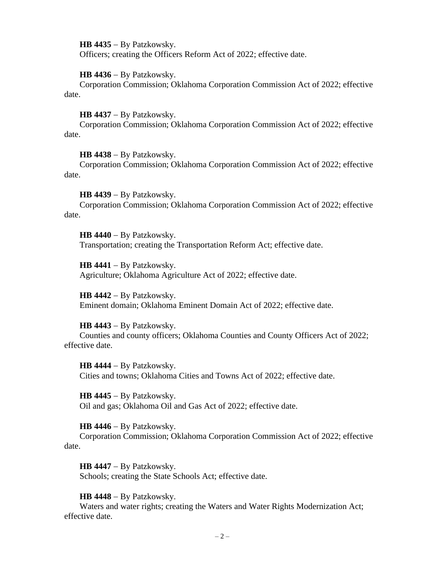**HB 4435** − By Patzkowsky.

Officers; creating the Officers Reform Act of 2022; effective date.

**HB 4436** − By Patzkowsky.

Corporation Commission; Oklahoma Corporation Commission Act of 2022; effective date.

**HB 4437** − By Patzkowsky.

Corporation Commission; Oklahoma Corporation Commission Act of 2022; effective date.

**HB 4438** − By Patzkowsky.

Corporation Commission; Oklahoma Corporation Commission Act of 2022; effective date.

**HB 4439** − By Patzkowsky.

Corporation Commission; Oklahoma Corporation Commission Act of 2022; effective date.

**HB 4440** − By Patzkowsky. Transportation; creating the Transportation Reform Act; effective date.

**HB 4441** − By Patzkowsky. Agriculture; Oklahoma Agriculture Act of 2022; effective date.

**HB 4442** − By Patzkowsky. Eminent domain; Oklahoma Eminent Domain Act of 2022; effective date.

**HB 4443** − By Patzkowsky.

Counties and county officers; Oklahoma Counties and County Officers Act of 2022; effective date.

**HB 4444** − By Patzkowsky. Cities and towns; Oklahoma Cities and Towns Act of 2022; effective date.

**HB 4445** − By Patzkowsky. Oil and gas; Oklahoma Oil and Gas Act of 2022; effective date.

**HB 4446** − By Patzkowsky.

Corporation Commission; Oklahoma Corporation Commission Act of 2022; effective date.

**HB 4447** − By Patzkowsky. Schools; creating the State Schools Act; effective date.

**HB 4448** − By Patzkowsky.

Waters and water rights; creating the Waters and Water Rights Modernization Act; effective date.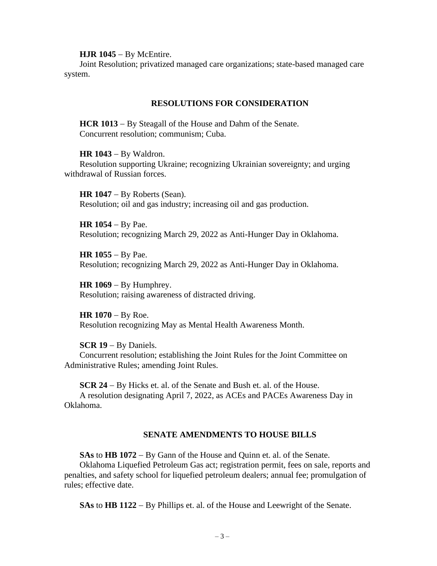**HJR 1045** − By McEntire.

Joint Resolution; privatized managed care organizations; state-based managed care system.

## **RESOLUTIONS FOR CONSIDERATION**

**HCR 1013** − By Steagall of the House and Dahm of the Senate. Concurrent resolution; communism; Cuba.

**HR 1043** − By Waldron. Resolution supporting Ukraine; recognizing Ukrainian sovereignty; and urging withdrawal of Russian forces.

**HR 1047** − By Roberts (Sean). Resolution; oil and gas industry; increasing oil and gas production.

**HR 1054** − By Pae. Resolution; recognizing March 29, 2022 as Anti-Hunger Day in Oklahoma.

**HR 1055** − By Pae. Resolution; recognizing March 29, 2022 as Anti-Hunger Day in Oklahoma.

**HR 1069**  $-$  By Humphrey. Resolution; raising awareness of distracted driving.

HR 1070 − By Roe. Resolution recognizing May as Mental Health Awareness Month.

**SCR 19** − By Daniels.

Concurrent resolution; establishing the Joint Rules for the Joint Committee on Administrative Rules; amending Joint Rules.

**SCR 24** − By Hicks et. al. of the Senate and Bush et. al. of the House. A resolution designating April 7, 2022, as ACEs and PACEs Awareness Day in Oklahoma.

#### **SENATE AMENDMENTS TO HOUSE BILLS**

**SAs** to **HB 1072** − By Gann of the House and Quinn et. al. of the Senate. Oklahoma Liquefied Petroleum Gas act; registration permit, fees on sale, reports and penalties, and safety school for liquefied petroleum dealers; annual fee; promulgation of rules; effective date.

**SAs** to **HB 1122** − By Phillips et. al. of the House and Leewright of the Senate.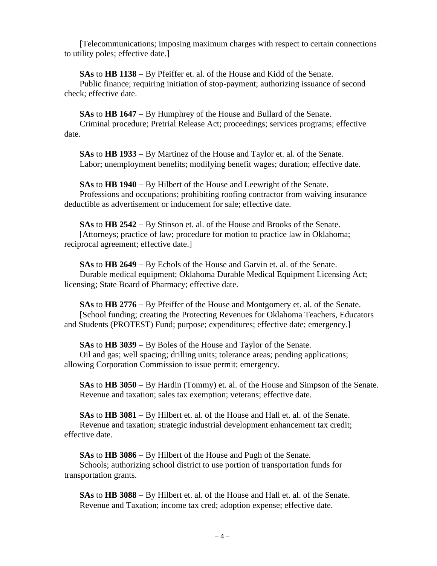[Telecommunications; imposing maximum charges with respect to certain connections to utility poles; effective date.]

**SAs** to **HB 1138** − By Pfeiffer et. al. of the House and Kidd of the Senate. Public finance; requiring initiation of stop-payment; authorizing issuance of second check; effective date.

**SAs** to **HB 1647** − By Humphrey of the House and Bullard of the Senate. Criminal procedure; Pretrial Release Act; proceedings; services programs; effective date.

**SAs** to **HB 1933** − By Martinez of the House and Taylor et. al. of the Senate. Labor; unemployment benefits; modifying benefit wages; duration; effective date.

**SAs** to **HB 1940** − By Hilbert of the House and Leewright of the Senate. Professions and occupations; prohibiting roofing contractor from waiving insurance deductible as advertisement or inducement for sale; effective date.

**SAs** to **HB 2542** − By Stinson et. al. of the House and Brooks of the Senate. [Attorneys; practice of law; procedure for motion to practice law in Oklahoma; reciprocal agreement; effective date.]

**SAs** to **HB 2649** − By Echols of the House and Garvin et. al. of the Senate. Durable medical equipment; Oklahoma Durable Medical Equipment Licensing Act; licensing; State Board of Pharmacy; effective date.

**SAs** to **HB 2776** − By Pfeiffer of the House and Montgomery et. al. of the Senate. [School funding; creating the Protecting Revenues for Oklahoma Teachers, Educators and Students (PROTEST) Fund; purpose; expenditures; effective date; emergency.]

**SAs** to **HB 3039** − By Boles of the House and Taylor of the Senate. Oil and gas; well spacing; drilling units; tolerance areas; pending applications; allowing Corporation Commission to issue permit; emergency.

**SAs** to **HB 3050** − By Hardin (Tommy) et. al. of the House and Simpson of the Senate. Revenue and taxation; sales tax exemption; veterans; effective date.

**SAs** to **HB 3081** − By Hilbert et. al. of the House and Hall et. al. of the Senate. Revenue and taxation; strategic industrial development enhancement tax credit; effective date.

**SAs** to **HB 3086** − By Hilbert of the House and Pugh of the Senate. Schools; authorizing school district to use portion of transportation funds for transportation grants.

**SAs** to **HB 3088** − By Hilbert et. al. of the House and Hall et. al. of the Senate. Revenue and Taxation; income tax cred; adoption expense; effective date.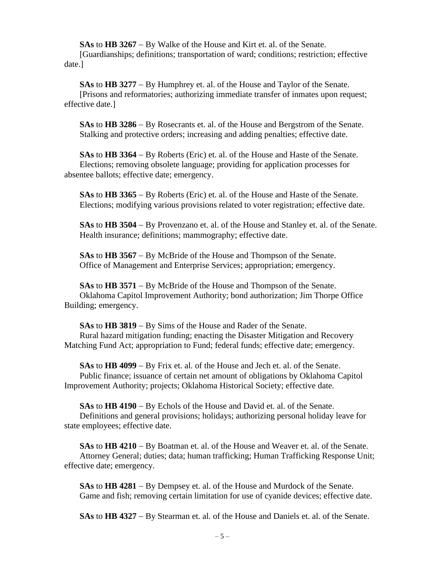**SAs** to **HB 3267** − By Walke of the House and Kirt et. al. of the Senate. [Guardianships; definitions; transportation of ward; conditions; restriction; effective date.]

**SAs** to **HB 3277** − By Humphrey et. al. of the House and Taylor of the Senate. [Prisons and reformatories; authorizing immediate transfer of inmates upon request; effective date.]

**SAs** to **HB 3286** − By Rosecrants et. al. of the House and Bergstrom of the Senate. Stalking and protective orders; increasing and adding penalties; effective date.

**SAs** to **HB 3364** − By Roberts (Eric) et. al. of the House and Haste of the Senate. Elections; removing obsolete language; providing for application processes for absentee ballots; effective date; emergency.

**SAs** to **HB 3365** − By Roberts (Eric) et. al. of the House and Haste of the Senate. Elections; modifying various provisions related to voter registration; effective date.

**SAs** to **HB 3504** − By Provenzano et. al. of the House and Stanley et. al. of the Senate. Health insurance; definitions; mammography; effective date.

**SAs** to **HB 3567** − By McBride of the House and Thompson of the Senate. Office of Management and Enterprise Services; appropriation; emergency.

**SAs** to **HB 3571** − By McBride of the House and Thompson of the Senate. Oklahoma Capitol Improvement Authority; bond authorization; Jim Thorpe Office Building; emergency.

**SAs** to **HB 3819** − By Sims of the House and Rader of the Senate. Rural hazard mitigation funding; enacting the Disaster Mitigation and Recovery Matching Fund Act; appropriation to Fund; federal funds; effective date; emergency.

**SAs** to **HB 4099** − By Frix et. al. of the House and Jech et. al. of the Senate. Public finance; issuance of certain net amount of obligations by Oklahoma Capitol Improvement Authority; projects; Oklahoma Historical Society; effective date.

**SAs** to **HB 4190** − By Echols of the House and David et. al. of the Senate. Definitions and general provisions; holidays; authorizing personal holiday leave for state employees; effective date.

**SAs** to **HB 4210** − By Boatman et. al. of the House and Weaver et. al. of the Senate. Attorney General; duties; data; human trafficking; Human Trafficking Response Unit; effective date; emergency.

**SAs** to **HB 4281** − By Dempsey et. al. of the House and Murdock of the Senate. Game and fish; removing certain limitation for use of cyanide devices; effective date.

**SAs** to **HB 4327** − By Stearman et. al. of the House and Daniels et. al. of the Senate.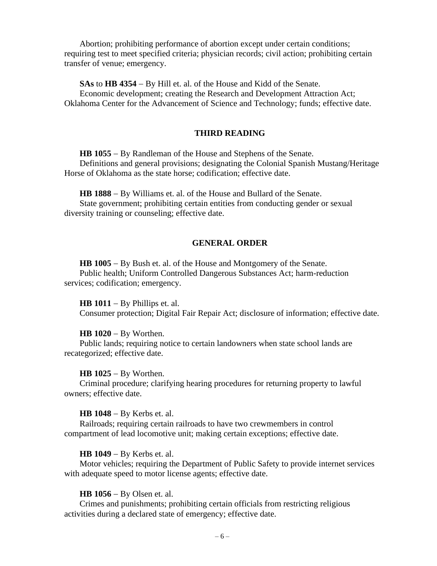Abortion; prohibiting performance of abortion except under certain conditions; requiring test to meet specified criteria; physician records; civil action; prohibiting certain transfer of venue; emergency.

**SAs** to **HB 4354** − By Hill et. al. of the House and Kidd of the Senate.

Economic development; creating the Research and Development Attraction Act; Oklahoma Center for the Advancement of Science and Technology; funds; effective date.

## **THIRD READING**

**HB 1055** − By Randleman of the House and Stephens of the Senate. Definitions and general provisions; designating the Colonial Spanish Mustang/Heritage Horse of Oklahoma as the state horse; codification; effective date.

**HB 1888** − By Williams et. al. of the House and Bullard of the Senate. State government; prohibiting certain entities from conducting gender or sexual diversity training or counseling; effective date.

## **GENERAL ORDER**

**HB 1005** − By Bush et. al. of the House and Montgomery of the Senate. Public health; Uniform Controlled Dangerous Substances Act; harm-reduction services; codification; emergency.

**HB 1011** − By Phillips et. al.

Consumer protection; Digital Fair Repair Act; disclosure of information; effective date.

#### **HB 1020** − By Worthen.

Public lands; requiring notice to certain landowners when state school lands are recategorized; effective date.

**HB 1025** − By Worthen.

Criminal procedure; clarifying hearing procedures for returning property to lawful owners; effective date.

**HB 1048** − By Kerbs et. al.

Railroads; requiring certain railroads to have two crewmembers in control compartment of lead locomotive unit; making certain exceptions; effective date.

## **HB 1049** − By Kerbs et. al.

Motor vehicles; requiring the Department of Public Safety to provide internet services with adequate speed to motor license agents; effective date.

#### **HB 1056** − By Olsen et. al.

Crimes and punishments; prohibiting certain officials from restricting religious activities during a declared state of emergency; effective date.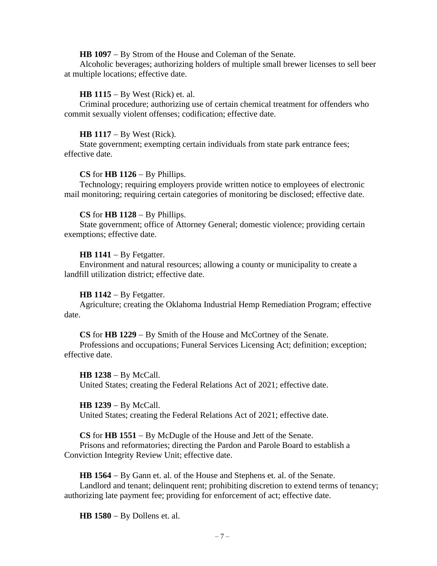**HB 1097** − By Strom of the House and Coleman of the Senate.

Alcoholic beverages; authorizing holders of multiple small brewer licenses to sell beer at multiple locations; effective date.

## **HB 1115** − By West (Rick) et. al.

Criminal procedure; authorizing use of certain chemical treatment for offenders who commit sexually violent offenses; codification; effective date.

#### **HB 1117** − By West (Rick).

State government; exempting certain individuals from state park entrance fees; effective date.

#### **CS** for **HB 1126** − By Phillips.

Technology; requiring employers provide written notice to employees of electronic mail monitoring; requiring certain categories of monitoring be disclosed; effective date.

#### **CS** for **HB 1128** − By Phillips.

State government; office of Attorney General; domestic violence; providing certain exemptions; effective date.

#### **HB 1141** − By Fetgatter.

Environment and natural resources; allowing a county or municipality to create a landfill utilization district; effective date.

#### **HB 1142** − By Fetgatter.

Agriculture; creating the Oklahoma Industrial Hemp Remediation Program; effective date.

#### **CS** for **HB 1229** − By Smith of the House and McCortney of the Senate.

Professions and occupations; Funeral Services Licensing Act; definition; exception; effective date.

**HB 1238** − By McCall. United States; creating the Federal Relations Act of 2021; effective date.

## **HB 1239** − By McCall.

United States; creating the Federal Relations Act of 2021; effective date.

**CS** for **HB 1551** − By McDugle of the House and Jett of the Senate.

Prisons and reformatories; directing the Pardon and Parole Board to establish a Conviction Integrity Review Unit; effective date.

**HB 1564** − By Gann et. al. of the House and Stephens et. al. of the Senate. Landlord and tenant; delinquent rent; prohibiting discretion to extend terms of tenancy; authorizing late payment fee; providing for enforcement of act; effective date.

**HB 1580** − By Dollens et. al.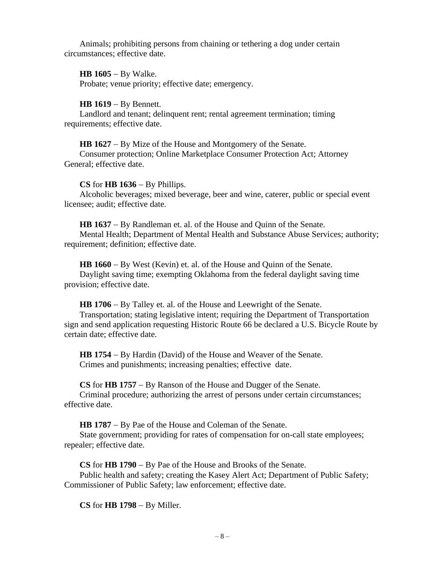Animals; prohibiting persons from chaining or tethering a dog under certain circumstances; effective date.

**HB 1605** − By Walke.

Probate; venue priority; effective date; emergency.

**HB 1619** − By Bennett.

Landlord and tenant; delinquent rent; rental agreement termination; timing requirements; effective date.

**HB 1627** − By Mize of the House and Montgomery of the Senate.

Consumer protection; Online Marketplace Consumer Protection Act; Attorney General; effective date.

**CS** for **HB 1636** − By Phillips.

Alcoholic beverages; mixed beverage, beer and wine, caterer, public or special event licensee; audit; effective date.

**HB 1637** − By Randleman et. al. of the House and Quinn of the Senate. Mental Health; Department of Mental Health and Substance Abuse Services; authority; requirement; definition; effective date.

**HB 1660** − By West (Kevin) et. al. of the House and Quinn of the Senate. Daylight saving time; exempting Oklahoma from the federal daylight saving time provision; effective date.

**HB 1706** − By Talley et. al. of the House and Leewright of the Senate. Transportation; stating legislative intent; requiring the Department of Transportation sign and send application requesting Historic Route 66 be declared a U.S. Bicycle Route by certain date; effective date.

**HB 1754** − By Hardin (David) of the House and Weaver of the Senate. Crimes and punishments; increasing penalties; effective date.

**CS** for **HB 1757** − By Ranson of the House and Dugger of the Senate. Criminal procedure; authorizing the arrest of persons under certain circumstances; effective date.

**HB 1787** − By Pae of the House and Coleman of the Senate.

State government; providing for rates of compensation for on-call state employees; repealer; effective date.

**CS** for **HB 1790** − By Pae of the House and Brooks of the Senate.

Public health and safety; creating the Kasey Alert Act; Department of Public Safety; Commissioner of Public Safety; law enforcement; effective date.

**CS** for **HB 1798** − By Miller.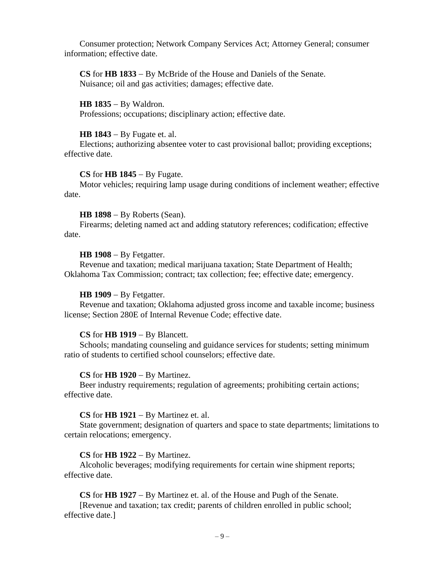Consumer protection; Network Company Services Act; Attorney General; consumer information; effective date.

**CS** for **HB 1833** − By McBride of the House and Daniels of the Senate. Nuisance; oil and gas activities; damages; effective date.

**HB 1835** − By Waldron. Professions; occupations; disciplinary action; effective date.

#### **HB 1843** − By Fugate et. al.

Elections; authorizing absentee voter to cast provisional ballot; providing exceptions; effective date.

#### **CS** for **HB 1845** − By Fugate.

Motor vehicles; requiring lamp usage during conditions of inclement weather; effective date.

#### **HB 1898** − By Roberts (Sean).

Firearms; deleting named act and adding statutory references; codification; effective date.

#### **HB 1908** − By Fetgatter.

Revenue and taxation; medical marijuana taxation; State Department of Health; Oklahoma Tax Commission; contract; tax collection; fee; effective date; emergency.

#### **HB 1909** − By Fetgatter.

Revenue and taxation; Oklahoma adjusted gross income and taxable income; business license; Section 280E of Internal Revenue Code; effective date.

## **CS** for **HB 1919** − By Blancett.

Schools; mandating counseling and guidance services for students; setting minimum ratio of students to certified school counselors; effective date.

#### **CS** for **HB 1920** − By Martinez.

Beer industry requirements; regulation of agreements; prohibiting certain actions; effective date.

#### **CS** for **HB 1921** − By Martinez et. al.

State government; designation of quarters and space to state departments; limitations to certain relocations; emergency.

## **CS** for **HB 1922** − By Martinez.

Alcoholic beverages; modifying requirements for certain wine shipment reports; effective date.

**CS** for **HB 1927** − By Martinez et. al. of the House and Pugh of the Senate.

[Revenue and taxation; tax credit; parents of children enrolled in public school; effective date.]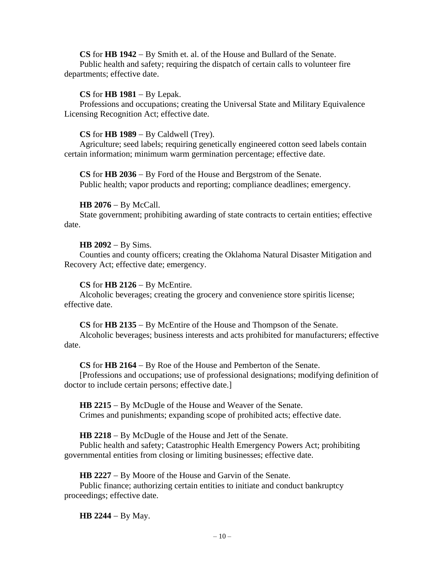# **CS** for **HB 1942** − By Smith et. al. of the House and Bullard of the Senate.

Public health and safety; requiring the dispatch of certain calls to volunteer fire departments; effective date.

## **CS** for **HB 1981** − By Lepak.

Professions and occupations; creating the Universal State and Military Equivalence Licensing Recognition Act; effective date.

#### **CS** for **HB 1989** − By Caldwell (Trey).

Agriculture; seed labels; requiring genetically engineered cotton seed labels contain certain information; minimum warm germination percentage; effective date.

**CS** for **HB 2036** − By Ford of the House and Bergstrom of the Senate. Public health; vapor products and reporting; compliance deadlines; emergency.

## **HB 2076** − By McCall.

State government; prohibiting awarding of state contracts to certain entities; effective date.

## **HB 2092** − By Sims.

Counties and county officers; creating the Oklahoma Natural Disaster Mitigation and Recovery Act; effective date; emergency.

## **CS** for **HB 2126** − By McEntire.

Alcoholic beverages; creating the grocery and convenience store spiritis license; effective date.

**CS** for **HB 2135** − By McEntire of the House and Thompson of the Senate.

Alcoholic beverages; business interests and acts prohibited for manufacturers; effective date.

## **CS** for **HB 2164** − By Roe of the House and Pemberton of the Senate.

[Professions and occupations; use of professional designations; modifying definition of doctor to include certain persons; effective date.]

**HB 2215** − By McDugle of the House and Weaver of the Senate. Crimes and punishments; expanding scope of prohibited acts; effective date.

**HB 2218** − By McDugle of the House and Jett of the Senate.

Public health and safety; Catastrophic Health Emergency Powers Act; prohibiting governmental entities from closing or limiting businesses; effective date.

**HB 2227** − By Moore of the House and Garvin of the Senate.

Public finance; authorizing certain entities to initiate and conduct bankruptcy proceedings; effective date.

**HB 2244** − By May.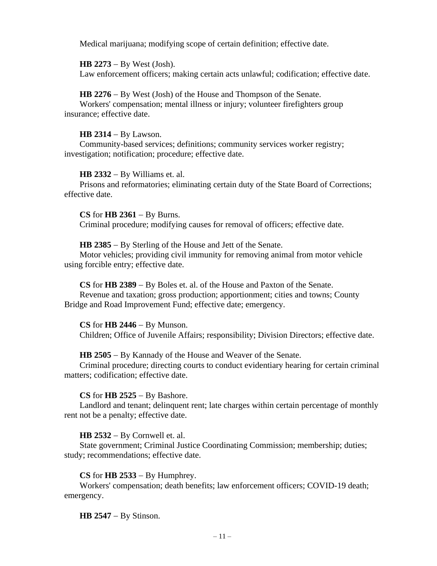Medical marijuana; modifying scope of certain definition; effective date.

**HB 2273** − By West (Josh).

Law enforcement officers; making certain acts unlawful; codification; effective date.

# **HB 2276** − By West (Josh) of the House and Thompson of the Senate.

Workers' compensation; mental illness or injury; volunteer firefighters group insurance; effective date.

# **HB 2314** − By Lawson.

Community-based services; definitions; community services worker registry; investigation; notification; procedure; effective date.

# **HB 2332** − By Williams et. al.

Prisons and reformatories; eliminating certain duty of the State Board of Corrections; effective date.

# **CS** for **HB 2361** − By Burns.

Criminal procedure; modifying causes for removal of officers; effective date.

# **HB 2385** − By Sterling of the House and Jett of the Senate.

Motor vehicles; providing civil immunity for removing animal from motor vehicle using forcible entry; effective date.

# **CS** for **HB 2389** − By Boles et. al. of the House and Paxton of the Senate. Revenue and taxation; gross production; apportionment; cities and towns; County Bridge and Road Improvement Fund; effective date; emergency.

# **CS** for **HB 2446** − By Munson.

Children; Office of Juvenile Affairs; responsibility; Division Directors; effective date.

# **HB 2505** − By Kannady of the House and Weaver of the Senate.

Criminal procedure; directing courts to conduct evidentiary hearing for certain criminal matters; codification; effective date.

# **CS** for **HB 2525** − By Bashore.

Landlord and tenant; delinquent rent; late charges within certain percentage of monthly rent not be a penalty; effective date.

# **HB 2532** − By Cornwell et. al.

State government; Criminal Justice Coordinating Commission; membership; duties; study; recommendations; effective date.

# **CS** for **HB 2533** − By Humphrey.

Workers' compensation; death benefits; law enforcement officers; COVID-19 death; emergency.

# **HB 2547** − By Stinson.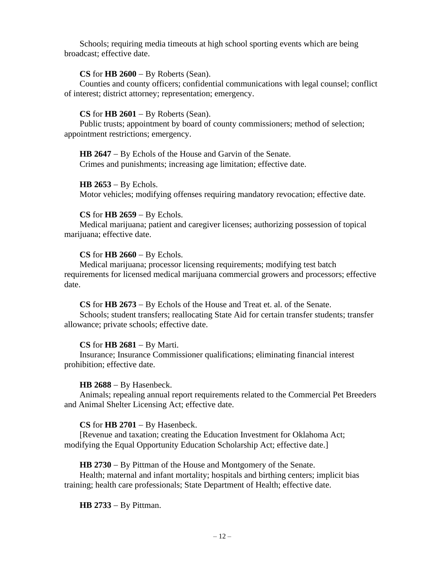Schools; requiring media timeouts at high school sporting events which are being broadcast; effective date.

## **CS** for **HB 2600** − By Roberts (Sean).

Counties and county officers; confidential communications with legal counsel; conflict of interest; district attorney; representation; emergency.

#### **CS** for **HB 2601** − By Roberts (Sean).

Public trusts; appointment by board of county commissioners; method of selection; appointment restrictions; emergency.

**HB 2647** − By Echols of the House and Garvin of the Senate. Crimes and punishments; increasing age limitation; effective date.

**HB 2653** − By Echols.

Motor vehicles; modifying offenses requiring mandatory revocation; effective date.

#### **CS** for **HB 2659** − By Echols.

Medical marijuana; patient and caregiver licenses; authorizing possession of topical marijuana; effective date.

#### **CS** for **HB 2660** − By Echols.

Medical marijuana; processor licensing requirements; modifying test batch requirements for licensed medical marijuana commercial growers and processors; effective date.

**CS** for **HB 2673** − By Echols of the House and Treat et. al. of the Senate.

Schools; student transfers; reallocating State Aid for certain transfer students; transfer allowance; private schools; effective date.

## **CS** for **HB 2681** − By Marti.

Insurance; Insurance Commissioner qualifications; eliminating financial interest prohibition; effective date.

## **HB 2688** − By Hasenbeck.

Animals; repealing annual report requirements related to the Commercial Pet Breeders and Animal Shelter Licensing Act; effective date.

## **CS** for **HB 2701** − By Hasenbeck.

[Revenue and taxation; creating the Education Investment for Oklahoma Act; modifying the Equal Opportunity Education Scholarship Act; effective date.]

**HB 2730** − By Pittman of the House and Montgomery of the Senate.

Health; maternal and infant mortality; hospitals and birthing centers; implicit bias training; health care professionals; State Department of Health; effective date.

**HB 2733** − By Pittman.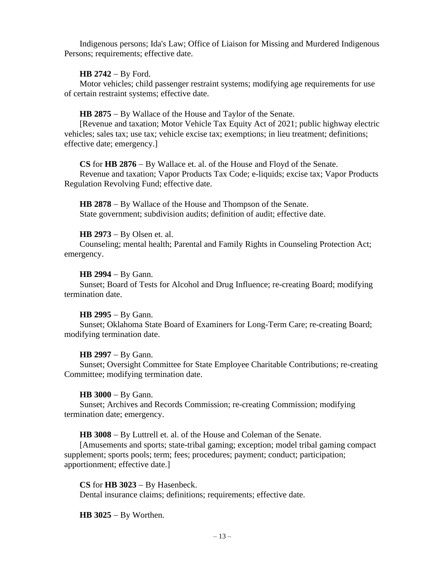Indigenous persons; Ida's Law; Office of Liaison for Missing and Murdered Indigenous Persons; requirements; effective date.

## **HB 2742** − By Ford.

Motor vehicles; child passenger restraint systems; modifying age requirements for use of certain restraint systems; effective date.

**HB 2875** − By Wallace of the House and Taylor of the Senate.

[Revenue and taxation; Motor Vehicle Tax Equity Act of 2021; public highway electric vehicles; sales tax; use tax; vehicle excise tax; exemptions; in lieu treatment; definitions; effective date; emergency.]

**CS** for **HB 2876** − By Wallace et. al. of the House and Floyd of the Senate. Revenue and taxation; Vapor Products Tax Code; e-liquids; excise tax; Vapor Products Regulation Revolving Fund; effective date.

**HB 2878** − By Wallace of the House and Thompson of the Senate. State government; subdivision audits; definition of audit; effective date.

## **HB 2973** − By Olsen et. al.

Counseling; mental health; Parental and Family Rights in Counseling Protection Act; emergency.

## **HB 2994** − By Gann.

Sunset; Board of Tests for Alcohol and Drug Influence; re-creating Board; modifying termination date.

## **HB 2995** − By Gann.

Sunset; Oklahoma State Board of Examiners for Long-Term Care; re-creating Board; modifying termination date.

## **HB 2997** − By Gann.

Sunset; Oversight Committee for State Employee Charitable Contributions; re-creating Committee; modifying termination date.

## **HB 3000** − By Gann.

Sunset; Archives and Records Commission; re-creating Commission; modifying termination date; emergency.

**HB 3008** − By Luttrell et. al. of the House and Coleman of the Senate.

[Amusements and sports; state-tribal gaming; exception; model tribal gaming compact supplement; sports pools; term; fees; procedures; payment; conduct; participation; apportionment; effective date.]

**CS** for **HB 3023** − By Hasenbeck. Dental insurance claims; definitions; requirements; effective date.

**HB 3025** − By Worthen.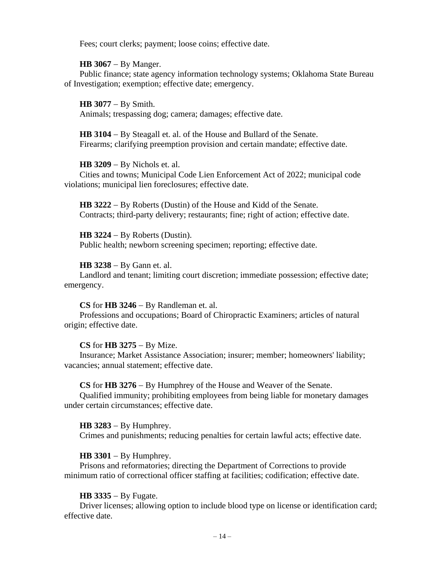Fees; court clerks; payment; loose coins; effective date.

**HB 3067** − By Manger.

Public finance; state agency information technology systems; Oklahoma State Bureau of Investigation; exemption; effective date; emergency.

**HB 3077** − By Smith. Animals; trespassing dog; camera; damages; effective date.

**HB 3104** − By Steagall et. al. of the House and Bullard of the Senate. Firearms; clarifying preemption provision and certain mandate; effective date.

**HB 3209** − By Nichols et. al.

Cities and towns; Municipal Code Lien Enforcement Act of 2022; municipal code violations; municipal lien foreclosures; effective date.

**HB 3222** − By Roberts (Dustin) of the House and Kidd of the Senate. Contracts; third-party delivery; restaurants; fine; right of action; effective date.

**HB 3224** − By Roberts (Dustin). Public health; newborn screening specimen; reporting; effective date.

**HB 3238** − By Gann et. al.

Landlord and tenant; limiting court discretion; immediate possession; effective date; emergency.

**CS** for **HB 3246** − By Randleman et. al.

Professions and occupations; Board of Chiropractic Examiners; articles of natural origin; effective date.

**CS** for **HB 3275** − By Mize.

Insurance; Market Assistance Association; insurer; member; homeowners' liability; vacancies; annual statement; effective date.

**CS** for **HB 3276** − By Humphrey of the House and Weaver of the Senate.

Qualified immunity; prohibiting employees from being liable for monetary damages under certain circumstances; effective date.

**HB 3283** − By Humphrey. Crimes and punishments; reducing penalties for certain lawful acts; effective date.

**HB 3301** − By Humphrey.

Prisons and reformatories; directing the Department of Corrections to provide minimum ratio of correctional officer staffing at facilities; codification; effective date.

**HB 3335** − By Fugate.

Driver licenses; allowing option to include blood type on license or identification card; effective date.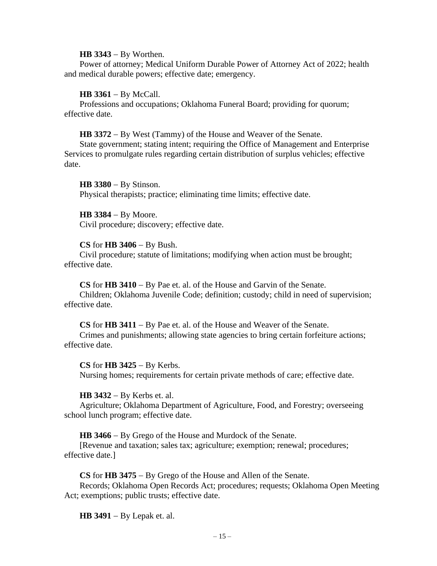#### **HB 3343** − By Worthen.

Power of attorney; Medical Uniform Durable Power of Attorney Act of 2022; health and medical durable powers; effective date; emergency.

#### **HB 3361** − By McCall.

Professions and occupations; Oklahoma Funeral Board; providing for quorum; effective date.

**HB 3372** − By West (Tammy) of the House and Weaver of the Senate.

State government; stating intent; requiring the Office of Management and Enterprise Services to promulgate rules regarding certain distribution of surplus vehicles; effective date.

**HB 3380** − By Stinson. Physical therapists; practice; eliminating time limits; effective date.

**HB 3384** − By Moore. Civil procedure; discovery; effective date.

#### **CS** for **HB 3406** − By Bush.

Civil procedure; statute of limitations; modifying when action must be brought; effective date.

**CS** for **HB 3410** − By Pae et. al. of the House and Garvin of the Senate. Children; Oklahoma Juvenile Code; definition; custody; child in need of supervision; effective date.

**CS** for **HB 3411** − By Pae et. al. of the House and Weaver of the Senate.

Crimes and punishments; allowing state agencies to bring certain forfeiture actions; effective date.

#### **CS** for **HB 3425** − By Kerbs.

Nursing homes; requirements for certain private methods of care; effective date.

#### **HB 3432** − By Kerbs et. al.

Agriculture; Oklahoma Department of Agriculture, Food, and Forestry; overseeing school lunch program; effective date.

**HB 3466** − By Grego of the House and Murdock of the Senate.

[Revenue and taxation; sales tax; agriculture; exemption; renewal; procedures; effective date.]

**CS** for **HB 3475** − By Grego of the House and Allen of the Senate.

Records; Oklahoma Open Records Act; procedures; requests; Oklahoma Open Meeting Act; exemptions; public trusts; effective date.

**HB 3491** − By Lepak et. al.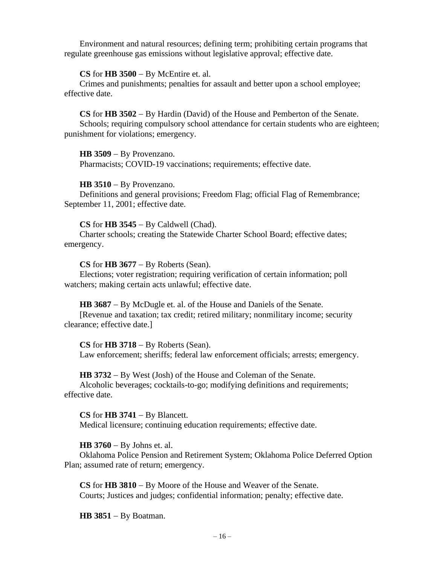Environment and natural resources; defining term; prohibiting certain programs that regulate greenhouse gas emissions without legislative approval; effective date.

## **CS** for **HB 3500** − By McEntire et. al.

Crimes and punishments; penalties for assault and better upon a school employee; effective date.

**CS** for **HB 3502** − By Hardin (David) of the House and Pemberton of the Senate. Schools; requiring compulsory school attendance for certain students who are eighteen; punishment for violations; emergency.

#### **HB 3509** − By Provenzano.

Pharmacists; COVID-19 vaccinations; requirements; effective date.

#### **HB 3510** − By Provenzano.

Definitions and general provisions; Freedom Flag; official Flag of Remembrance; September 11, 2001; effective date.

#### **CS** for **HB 3545** − By Caldwell (Chad).

Charter schools; creating the Statewide Charter School Board; effective dates; emergency.

#### **CS** for **HB 3677** − By Roberts (Sean).

Elections; voter registration; requiring verification of certain information; poll watchers; making certain acts unlawful; effective date.

**HB 3687** − By McDugle et. al. of the House and Daniels of the Senate.

[Revenue and taxation; tax credit; retired military; nonmilitary income; security clearance; effective date.]

## **CS** for **HB 3718** − By Roberts (Sean).

Law enforcement; sheriffs; federal law enforcement officials; arrests; emergency.

**HB 3732** − By West (Josh) of the House and Coleman of the Senate.

Alcoholic beverages; cocktails-to-go; modifying definitions and requirements; effective date.

**CS** for **HB 3741** − By Blancett. Medical licensure; continuing education requirements; effective date.

## **HB 3760** − By Johns et. al.

Oklahoma Police Pension and Retirement System; Oklahoma Police Deferred Option Plan; assumed rate of return; emergency.

**CS** for **HB 3810** − By Moore of the House and Weaver of the Senate. Courts; Justices and judges; confidential information; penalty; effective date.

**HB 3851** − By Boatman.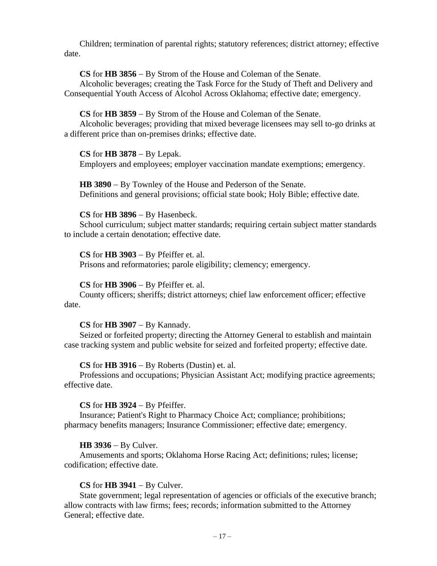Children; termination of parental rights; statutory references; district attorney; effective date.

**CS** for **HB 3856** − By Strom of the House and Coleman of the Senate.

Alcoholic beverages; creating the Task Force for the Study of Theft and Delivery and Consequential Youth Access of Alcohol Across Oklahoma; effective date; emergency.

**CS** for **HB 3859** − By Strom of the House and Coleman of the Senate.

Alcoholic beverages; providing that mixed beverage licensees may sell to-go drinks at a different price than on-premises drinks; effective date.

## **CS** for **HB 3878** − By Lepak.

Employers and employees; employer vaccination mandate exemptions; emergency.

**HB 3890** − By Townley of the House and Pederson of the Senate. Definitions and general provisions; official state book; Holy Bible; effective date.

## **CS** for **HB 3896** − By Hasenbeck.

School curriculum; subject matter standards; requiring certain subject matter standards to include a certain denotation; effective date.

## **CS** for **HB 3903** − By Pfeiffer et. al.

Prisons and reformatories; parole eligibility; clemency; emergency.

## **CS** for **HB 3906** − By Pfeiffer et. al.

County officers; sheriffs; district attorneys; chief law enforcement officer; effective date.

# **CS** for **HB 3907** − By Kannady.

Seized or forfeited property; directing the Attorney General to establish and maintain case tracking system and public website for seized and forfeited property; effective date.

# **CS** for **HB 3916** − By Roberts (Dustin) et. al.

Professions and occupations; Physician Assistant Act; modifying practice agreements; effective date.

# **CS** for **HB 3924** − By Pfeiffer.

Insurance; Patient's Right to Pharmacy Choice Act; compliance; prohibitions; pharmacy benefits managers; Insurance Commissioner; effective date; emergency.

# **HB 3936** − By Culver.

Amusements and sports; Oklahoma Horse Racing Act; definitions; rules; license; codification; effective date.

# **CS** for **HB 3941** − By Culver.

State government; legal representation of agencies or officials of the executive branch; allow contracts with law firms; fees; records; information submitted to the Attorney General; effective date.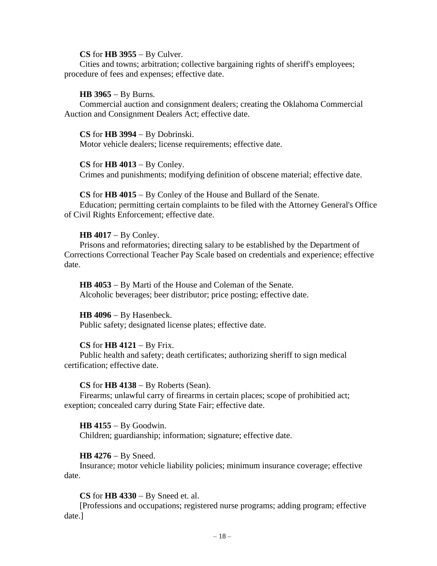#### **CS** for **HB 3955** − By Culver.

Cities and towns; arbitration; collective bargaining rights of sheriff's employees; procedure of fees and expenses; effective date.

#### **HB 3965** − By Burns.

Commercial auction and consignment dealers; creating the Oklahoma Commercial Auction and Consignment Dealers Act; effective date.

#### **CS** for **HB 3994** − By Dobrinski.

Motor vehicle dealers; license requirements; effective date.

#### **CS** for **HB 4013** − By Conley.

Crimes and punishments; modifying definition of obscene material; effective date.

#### **CS** for **HB 4015** − By Conley of the House and Bullard of the Senate.

Education; permitting certain complaints to be filed with the Attorney General's Office of Civil Rights Enforcement; effective date.

#### **HB 4017** − By Conley.

Prisons and reformatories; directing salary to be established by the Department of Corrections Correctional Teacher Pay Scale based on credentials and experience; effective date.

**HB 4053** − By Marti of the House and Coleman of the Senate. Alcoholic beverages; beer distributor; price posting; effective date.

## **HB 4096** − By Hasenbeck.

Public safety; designated license plates; effective date.

## **CS** for **HB 4121** − By Frix.

Public health and safety; death certificates; authorizing sheriff to sign medical certification; effective date.

#### **CS** for **HB 4138** − By Roberts (Sean).

Firearms; unlawful carry of firearms in certain places; scope of prohibitied act; exeption; concealed carry during State Fair; effective date.

## **HB 4155** − By Goodwin.

Children; guardianship; information; signature; effective date.

## **HB 4276** − By Sneed.

Insurance; motor vehicle liability policies; minimum insurance coverage; effective date.

## **CS** for **HB 4330** − By Sneed et. al.

[Professions and occupations; registered nurse programs; adding program; effective date.]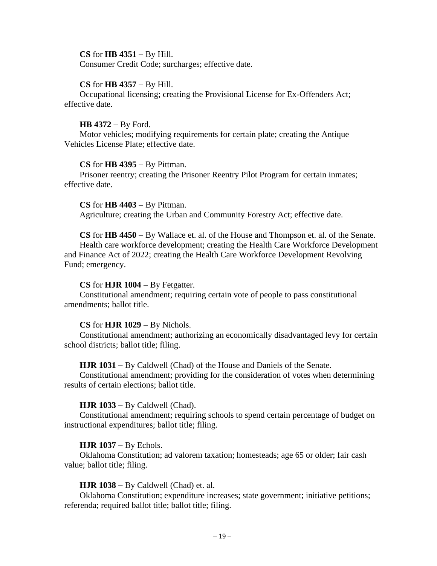## **CS** for **HB 4351** − By Hill.

Consumer Credit Code; surcharges; effective date.

## **CS** for **HB 4357** − By Hill.

Occupational licensing; creating the Provisional License for Ex-Offenders Act; effective date.

# **HB 4372** − By Ford.

Motor vehicles; modifying requirements for certain plate; creating the Antique Vehicles License Plate; effective date.

## **CS** for **HB 4395** − By Pittman.

Prisoner reentry; creating the Prisoner Reentry Pilot Program for certain inmates; effective date.

**CS** for **HB 4403** − By Pittman. Agriculture; creating the Urban and Community Forestry Act; effective date.

**CS** for **HB 4450** − By Wallace et. al. of the House and Thompson et. al. of the Senate.

Health care workforce development; creating the Health Care Workforce Development and Finance Act of 2022; creating the Health Care Workforce Development Revolving Fund; emergency.

# **CS** for **HJR 1004** − By Fetgatter.

Constitutional amendment; requiring certain vote of people to pass constitutional amendments; ballot title.

# **CS** for **HJR 1029** − By Nichols.

Constitutional amendment; authorizing an economically disadvantaged levy for certain school districts; ballot title; filing.

# **HJR 1031** − By Caldwell (Chad) of the House and Daniels of the Senate.

Constitutional amendment; providing for the consideration of votes when determining results of certain elections; ballot title.

# **HJR 1033** − By Caldwell (Chad).

Constitutional amendment; requiring schools to spend certain percentage of budget on instructional expenditures; ballot title; filing.

# **HJR 1037** − By Echols.

Oklahoma Constitution; ad valorem taxation; homesteads; age 65 or older; fair cash value; ballot title; filing.

# **HJR 1038** − By Caldwell (Chad) et. al.

Oklahoma Constitution; expenditure increases; state government; initiative petitions; referenda; required ballot title; ballot title; filing.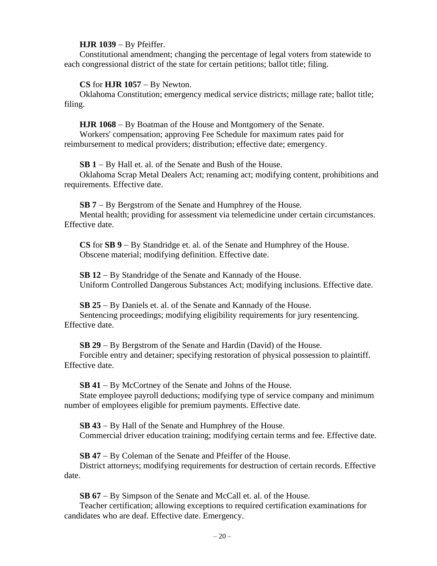## **HJR 1039** − By Pfeiffer.

Constitutional amendment; changing the percentage of legal voters from statewide to each congressional district of the state for certain petitions; ballot title; filing.

## **CS** for **HJR 1057** − By Newton.

Oklahoma Constitution; emergency medical service districts; millage rate; ballot title; filing.

## **HJR 1068** − By Boatman of the House and Montgomery of the Senate.

Workers' compensation; approving Fee Schedule for maximum rates paid for reimbursement to medical providers; distribution; effective date; emergency.

**SB 1** − By Hall et. al. of the Senate and Bush of the House.

Oklahoma Scrap Metal Dealers Act; renaming act; modifying content, prohibitions and requirements. Effective date.

**SB 7** − By Bergstrom of the Senate and Humphrey of the House.

Mental health; providing for assessment via telemedicine under certain circumstances. Effective date.

**CS** for **SB 9** − By Standridge et. al. of the Senate and Humphrey of the House. Obscene material; modifying definition. Effective date.

**SB 12** − By Standridge of the Senate and Kannady of the House. Uniform Controlled Dangerous Substances Act; modifying inclusions. Effective date.

**SB 25** − By Daniels et. al. of the Senate and Kannady of the House. Sentencing proceedings; modifying eligibility requirements for jury resentencing. Effective date.

**SB 29** − By Bergstrom of the Senate and Hardin (David) of the House.

Forcible entry and detainer; specifying restoration of physical possession to plaintiff. Effective date.

**SB 41** − By McCortney of the Senate and Johns of the House.

State employee payroll deductions; modifying type of service company and minimum number of employees eligible for premium payments. Effective date.

**SB 43** − By Hall of the Senate and Humphrey of the House. Commercial driver education training; modifying certain terms and fee. Effective date.

**SB 47** − By Coleman of the Senate and Pfeiffer of the House.

District attorneys; modifying requirements for destruction of certain records. Effective date.

**SB 67** − By Simpson of the Senate and McCall et. al. of the House.

Teacher certification; allowing exceptions to required certification examinations for candidates who are deaf. Effective date. Emergency.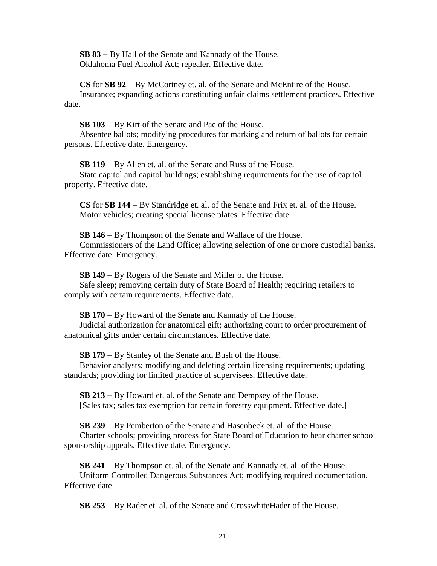**SB 83** − By Hall of the Senate and Kannady of the House. Oklahoma Fuel Alcohol Act; repealer. Effective date.

**CS** for **SB 92** − By McCortney et. al. of the Senate and McEntire of the House. Insurance; expanding actions constituting unfair claims settlement practices. Effective date.

**SB 103** − By Kirt of the Senate and Pae of the House.

Absentee ballots; modifying procedures for marking and return of ballots for certain persons. Effective date. Emergency.

**SB 119** − By Allen et. al. of the Senate and Russ of the House. State capitol and capitol buildings; establishing requirements for the use of capitol property. Effective date.

**CS** for **SB 144** − By Standridge et. al. of the Senate and Frix et. al. of the House. Motor vehicles; creating special license plates. Effective date.

**SB 146** − By Thompson of the Senate and Wallace of the House.

Commissioners of the Land Office; allowing selection of one or more custodial banks. Effective date. Emergency.

**SB 149** − By Rogers of the Senate and Miller of the House.

Safe sleep; removing certain duty of State Board of Health; requiring retailers to comply with certain requirements. Effective date.

**SB 170** − By Howard of the Senate and Kannady of the House.

Judicial authorization for anatomical gift; authorizing court to order procurement of anatomical gifts under certain circumstances. Effective date.

**SB 179** − By Stanley of the Senate and Bush of the House.

Behavior analysts; modifying and deleting certain licensing requirements; updating standards; providing for limited practice of supervisees. Effective date.

**SB 213** − By Howard et. al. of the Senate and Dempsey of the House. [Sales tax; sales tax exemption for certain forestry equipment. Effective date.]

**SB 239** − By Pemberton of the Senate and Hasenbeck et. al. of the House.

Charter schools; providing process for State Board of Education to hear charter school sponsorship appeals. Effective date. Emergency.

**SB 241** − By Thompson et. al. of the Senate and Kannady et. al. of the House.

Uniform Controlled Dangerous Substances Act; modifying required documentation. Effective date.

**SB 253** − By Rader et. al. of the Senate and CrosswhiteHader of the House.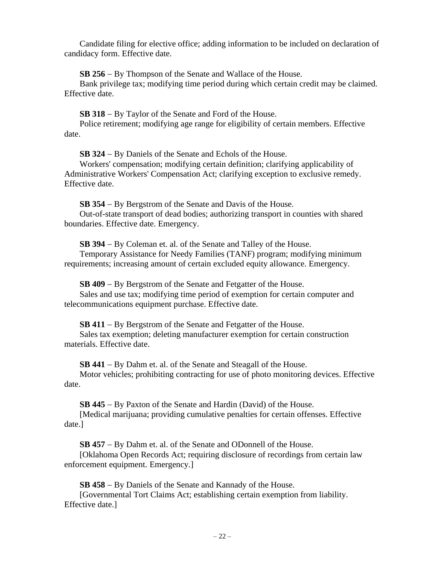Candidate filing for elective office; adding information to be included on declaration of candidacy form. Effective date.

**SB 256** − By Thompson of the Senate and Wallace of the House.

Bank privilege tax; modifying time period during which certain credit may be claimed. Effective date.

**SB 318** − By Taylor of the Senate and Ford of the House.

Police retirement; modifying age range for eligibility of certain members. Effective date.

**SB 324** − By Daniels of the Senate and Echols of the House.

Workers' compensation; modifying certain definition; clarifying applicability of Administrative Workers' Compensation Act; clarifying exception to exclusive remedy. Effective date.

**SB 354** − By Bergstrom of the Senate and Davis of the House.

Out-of-state transport of dead bodies; authorizing transport in counties with shared boundaries. Effective date. Emergency.

**SB 394** − By Coleman et. al. of the Senate and Talley of the House.

Temporary Assistance for Needy Families (TANF) program; modifying minimum requirements; increasing amount of certain excluded equity allowance. Emergency.

**SB 409** − By Bergstrom of the Senate and Fetgatter of the House. Sales and use tax; modifying time period of exemption for certain computer and telecommunications equipment purchase. Effective date.

**SB 411** − By Bergstrom of the Senate and Fetgatter of the House.

Sales tax exemption; deleting manufacturer exemption for certain construction materials. Effective date.

**SB 441** − By Dahm et. al. of the Senate and Steagall of the House.

Motor vehicles; prohibiting contracting for use of photo monitoring devices. Effective date.

**SB 445** − By Paxton of the Senate and Hardin (David) of the House.

[Medical marijuana; providing cumulative penalties for certain offenses. Effective date.]

**SB 457** − By Dahm et. al. of the Senate and ODonnell of the House.

[Oklahoma Open Records Act; requiring disclosure of recordings from certain law enforcement equipment. Emergency.]

**SB 458** − By Daniels of the Senate and Kannady of the House. [Governmental Tort Claims Act; establishing certain exemption from liability. Effective date.]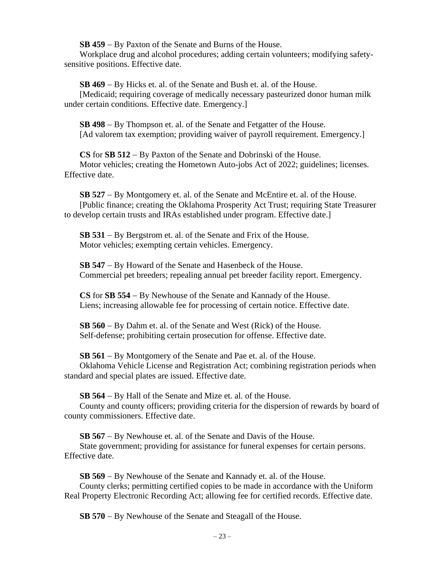**SB 459** − By Paxton of the Senate and Burns of the House.

Workplace drug and alcohol procedures; adding certain volunteers; modifying safetysensitive positions. Effective date.

**SB 469** − By Hicks et. al. of the Senate and Bush et. al. of the House.

[Medicaid; requiring coverage of medically necessary pasteurized donor human milk under certain conditions. Effective date. Emergency.]

**SB 498** − By Thompson et. al. of the Senate and Fetgatter of the House. [Ad valorem tax exemption; providing waiver of payroll requirement. Emergency.]

**CS** for **SB 512** − By Paxton of the Senate and Dobrinski of the House. Motor vehicles; creating the Hometown Auto-jobs Act of 2022; guidelines; licenses. Effective date.

**SB 527** − By Montgomery et. al. of the Senate and McEntire et. al. of the House. [Public finance; creating the Oklahoma Prosperity Act Trust; requiring State Treasurer to develop certain trusts and IRAs established under program. Effective date.]

**SB 531** − By Bergstrom et. al. of the Senate and Frix of the House. Motor vehicles; exempting certain vehicles. Emergency.

**SB 547** − By Howard of the Senate and Hasenbeck of the House. Commercial pet breeders; repealing annual pet breeder facility report. Emergency.

**CS** for **SB 554** − By Newhouse of the Senate and Kannady of the House. Liens; increasing allowable fee for processing of certain notice. Effective date.

**SB 560** − By Dahm et. al. of the Senate and West (Rick) of the House. Self-defense; prohibiting certain prosecution for offense. Effective date.

**SB 561** − By Montgomery of the Senate and Pae et. al. of the House.

Oklahoma Vehicle License and Registration Act; combining registration periods when standard and special plates are issued. Effective date.

**SB 564** − By Hall of the Senate and Mize et. al. of the House.

County and county officers; providing criteria for the dispersion of rewards by board of county commissioners. Effective date.

**SB 567** − By Newhouse et. al. of the Senate and Davis of the House.

State government; providing for assistance for funeral expenses for certain persons. Effective date.

**SB 569** − By Newhouse of the Senate and Kannady et. al. of the House.

County clerks; permitting certified copies to be made in accordance with the Uniform Real Property Electronic Recording Act; allowing fee for certified records. Effective date.

**SB 570** − By Newhouse of the Senate and Steagall of the House.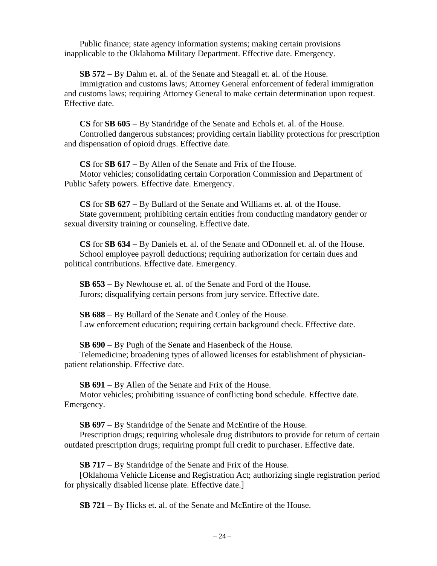Public finance; state agency information systems; making certain provisions inapplicable to the Oklahoma Military Department. Effective date. Emergency.

**SB 572** − By Dahm et. al. of the Senate and Steagall et. al. of the House.

Immigration and customs laws; Attorney General enforcement of federal immigration and customs laws; requiring Attorney General to make certain determination upon request. Effective date.

**CS** for **SB 605** − By Standridge of the Senate and Echols et. al. of the House. Controlled dangerous substances; providing certain liability protections for prescription and dispensation of opioid drugs. Effective date.

**CS** for **SB 617** − By Allen of the Senate and Frix of the House. Motor vehicles; consolidating certain Corporation Commission and Department of

Public Safety powers. Effective date. Emergency.

**CS** for **SB 627** − By Bullard of the Senate and Williams et. al. of the House. State government; prohibiting certain entities from conducting mandatory gender or sexual diversity training or counseling. Effective date.

**CS** for **SB 634** − By Daniels et. al. of the Senate and ODonnell et. al. of the House. School employee payroll deductions; requiring authorization for certain dues and political contributions. Effective date. Emergency.

**SB 653** − By Newhouse et. al. of the Senate and Ford of the House. Jurors; disqualifying certain persons from jury service. Effective date.

**SB 688** − By Bullard of the Senate and Conley of the House. Law enforcement education; requiring certain background check. Effective date.

**SB 690** − By Pugh of the Senate and Hasenbeck of the House.

Telemedicine; broadening types of allowed licenses for establishment of physicianpatient relationship. Effective date.

**SB 691** − By Allen of the Senate and Frix of the House.

Motor vehicles; prohibiting issuance of conflicting bond schedule. Effective date. Emergency.

**SB 697** − By Standridge of the Senate and McEntire of the House.

Prescription drugs; requiring wholesale drug distributors to provide for return of certain outdated prescription drugs; requiring prompt full credit to purchaser. Effective date.

**SB 717** − By Standridge of the Senate and Frix of the House.

[Oklahoma Vehicle License and Registration Act; authorizing single registration period for physically disabled license plate. Effective date.]

**SB 721** − By Hicks et. al. of the Senate and McEntire of the House.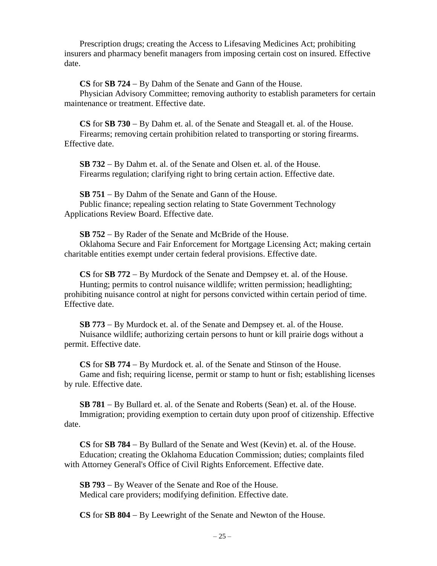Prescription drugs; creating the Access to Lifesaving Medicines Act; prohibiting insurers and pharmacy benefit managers from imposing certain cost on insured. Effective date.

**CS** for **SB 724** − By Dahm of the Senate and Gann of the House.

Physician Advisory Committee; removing authority to establish parameters for certain maintenance or treatment. Effective date.

**CS** for **SB 730** − By Dahm et. al. of the Senate and Steagall et. al. of the House. Firearms; removing certain prohibition related to transporting or storing firearms. Effective date.

**SB 732** − By Dahm et. al. of the Senate and Olsen et. al. of the House. Firearms regulation; clarifying right to bring certain action. Effective date.

**SB 751** − By Dahm of the Senate and Gann of the House. Public finance; repealing section relating to State Government Technology Applications Review Board. Effective date.

**SB 752** − By Rader of the Senate and McBride of the House.

Oklahoma Secure and Fair Enforcement for Mortgage Licensing Act; making certain charitable entities exempt under certain federal provisions. Effective date.

**CS** for **SB 772** − By Murdock of the Senate and Dempsey et. al. of the House. Hunting; permits to control nuisance wildlife; written permission; headlighting; prohibiting nuisance control at night for persons convicted within certain period of time. Effective date.

**SB 773** − By Murdock et. al. of the Senate and Dempsey et. al. of the House. Nuisance wildlife; authorizing certain persons to hunt or kill prairie dogs without a permit. Effective date.

**CS** for **SB 774** − By Murdock et. al. of the Senate and Stinson of the House. Game and fish; requiring license, permit or stamp to hunt or fish; establishing licenses by rule. Effective date.

**SB 781** − By Bullard et. al. of the Senate and Roberts (Sean) et. al. of the House. Immigration; providing exemption to certain duty upon proof of citizenship. Effective date.

**CS** for **SB 784** − By Bullard of the Senate and West (Kevin) et. al. of the House. Education; creating the Oklahoma Education Commission; duties; complaints filed with Attorney General's Office of Civil Rights Enforcement. Effective date.

**SB 793** − By Weaver of the Senate and Roe of the House. Medical care providers; modifying definition. Effective date.

**CS** for **SB 804** − By Leewright of the Senate and Newton of the House.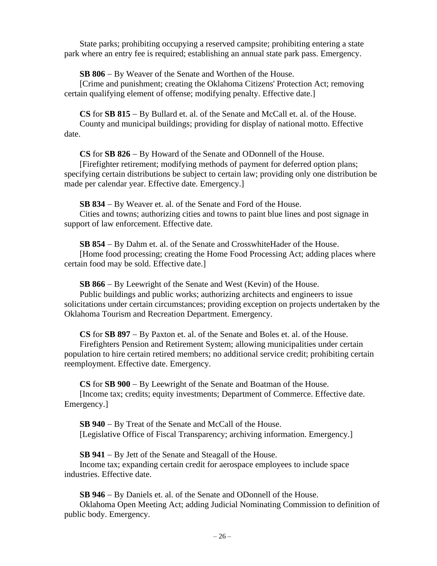State parks; prohibiting occupying a reserved campsite; prohibiting entering a state park where an entry fee is required; establishing an annual state park pass. Emergency.

**SB 806** − By Weaver of the Senate and Worthen of the House.

[Crime and punishment; creating the Oklahoma Citizens' Protection Act; removing certain qualifying element of offense; modifying penalty. Effective date.]

**CS** for **SB 815** − By Bullard et. al. of the Senate and McCall et. al. of the House. County and municipal buildings; providing for display of national motto. Effective date.

**CS** for **SB 826** − By Howard of the Senate and ODonnell of the House.

[Firefighter retirement; modifying methods of payment for deferred option plans; specifying certain distributions be subject to certain law; providing only one distribution be made per calendar year. Effective date. Emergency.]

**SB 834** − By Weaver et. al. of the Senate and Ford of the House.

Cities and towns; authorizing cities and towns to paint blue lines and post signage in support of law enforcement. Effective date.

**SB 854** − By Dahm et. al. of the Senate and CrosswhiteHader of the House. [Home food processing; creating the Home Food Processing Act; adding places where certain food may be sold. Effective date.]

**SB 866** − By Leewright of the Senate and West (Kevin) of the House.

Public buildings and public works; authorizing architects and engineers to issue solicitations under certain circumstances; providing exception on projects undertaken by the Oklahoma Tourism and Recreation Department. Emergency.

**CS** for **SB 897** − By Paxton et. al. of the Senate and Boles et. al. of the House. Firefighters Pension and Retirement System; allowing municipalities under certain population to hire certain retired members; no additional service credit; prohibiting certain reemployment. Effective date. Emergency.

**CS** for **SB 900** − By Leewright of the Senate and Boatman of the House. [Income tax; credits; equity investments; Department of Commerce. Effective date. Emergency.]

**SB 940** − By Treat of the Senate and McCall of the House. [Legislative Office of Fiscal Transparency; archiving information. Emergency.]

**SB 941** − By Jett of the Senate and Steagall of the House.

Income tax; expanding certain credit for aerospace employees to include space industries. Effective date.

**SB 946** − By Daniels et. al. of the Senate and ODonnell of the House.

Oklahoma Open Meeting Act; adding Judicial Nominating Commission to definition of public body. Emergency.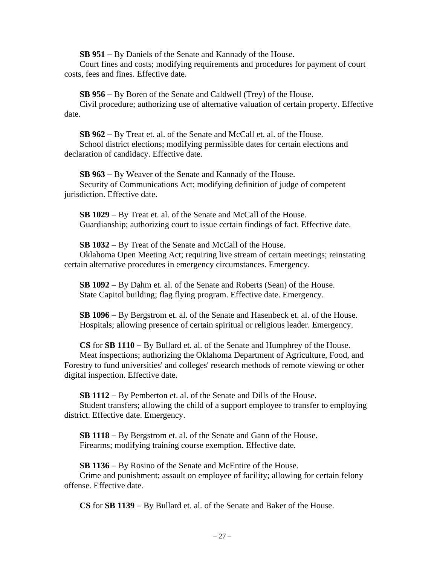**SB 951** − By Daniels of the Senate and Kannady of the House.

Court fines and costs; modifying requirements and procedures for payment of court costs, fees and fines. Effective date.

**SB 956** − By Boren of the Senate and Caldwell (Trey) of the House.

Civil procedure; authorizing use of alternative valuation of certain property. Effective date.

**SB 962** − By Treat et. al. of the Senate and McCall et. al. of the House. School district elections; modifying permissible dates for certain elections and declaration of candidacy. Effective date.

**SB 963** − By Weaver of the Senate and Kannady of the House. Security of Communications Act; modifying definition of judge of competent jurisdiction. Effective date.

**SB 1029** − By Treat et. al. of the Senate and McCall of the House. Guardianship; authorizing court to issue certain findings of fact. Effective date.

**SB 1032** − By Treat of the Senate and McCall of the House. Oklahoma Open Meeting Act; requiring live stream of certain meetings; reinstating certain alternative procedures in emergency circumstances. Emergency.

**SB 1092** − By Dahm et. al. of the Senate and Roberts (Sean) of the House. State Capitol building; flag flying program. Effective date. Emergency.

**SB 1096** − By Bergstrom et. al. of the Senate and Hasenbeck et. al. of the House. Hospitals; allowing presence of certain spiritual or religious leader. Emergency.

**CS** for **SB 1110** − By Bullard et. al. of the Senate and Humphrey of the House. Meat inspections; authorizing the Oklahoma Department of Agriculture, Food, and Forestry to fund universities' and colleges' research methods of remote viewing or other digital inspection. Effective date.

**SB 1112** − By Pemberton et. al. of the Senate and Dills of the House. Student transfers; allowing the child of a support employee to transfer to employing

district. Effective date. Emergency.

**SB 1118** − By Bergstrom et. al. of the Senate and Gann of the House. Firearms; modifying training course exemption. Effective date.

**SB 1136** − By Rosino of the Senate and McEntire of the House.

Crime and punishment; assault on employee of facility; allowing for certain felony offense. Effective date.

**CS** for **SB 1139** − By Bullard et. al. of the Senate and Baker of the House.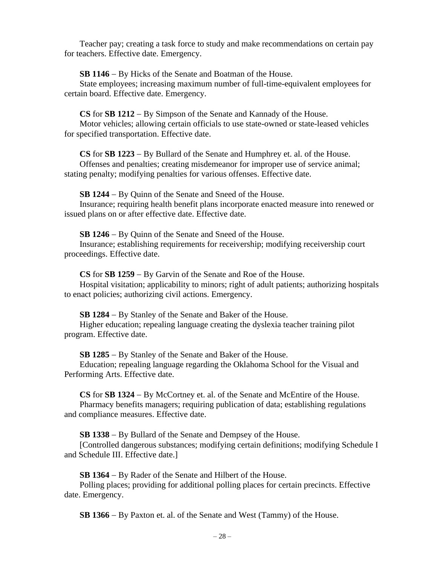Teacher pay; creating a task force to study and make recommendations on certain pay for teachers. Effective date. Emergency.

**SB 1146** − By Hicks of the Senate and Boatman of the House.

State employees; increasing maximum number of full-time-equivalent employees for certain board. Effective date. Emergency.

**CS** for **SB 1212** − By Simpson of the Senate and Kannady of the House.

Motor vehicles; allowing certain officials to use state-owned or state-leased vehicles for specified transportation. Effective date.

**CS** for **SB 1223** − By Bullard of the Senate and Humphrey et. al. of the House.

Offenses and penalties; creating misdemeanor for improper use of service animal; stating penalty; modifying penalties for various offenses. Effective date.

**SB 1244** − By Quinn of the Senate and Sneed of the House.

Insurance; requiring health benefit plans incorporate enacted measure into renewed or issued plans on or after effective date. Effective date.

**SB 1246** − By Quinn of the Senate and Sneed of the House.

Insurance; establishing requirements for receivership; modifying receivership court proceedings. Effective date.

**CS** for **SB 1259** − By Garvin of the Senate and Roe of the House.

Hospital visitation; applicability to minors; right of adult patients; authorizing hospitals to enact policies; authorizing civil actions. Emergency.

**SB 1284** − By Stanley of the Senate and Baker of the House.

Higher education; repealing language creating the dyslexia teacher training pilot program. Effective date.

**SB 1285** − By Stanley of the Senate and Baker of the House.

Education; repealing language regarding the Oklahoma School for the Visual and Performing Arts. Effective date.

**CS** for **SB 1324** − By McCortney et. al. of the Senate and McEntire of the House. Pharmacy benefits managers; requiring publication of data; establishing regulations and compliance measures. Effective date.

**SB 1338** − By Bullard of the Senate and Dempsey of the House.

[Controlled dangerous substances; modifying certain definitions; modifying Schedule I and Schedule III. Effective date.]

**SB 1364** − By Rader of the Senate and Hilbert of the House.

Polling places; providing for additional polling places for certain precincts. Effective date. Emergency.

**SB 1366** − By Paxton et. al. of the Senate and West (Tammy) of the House.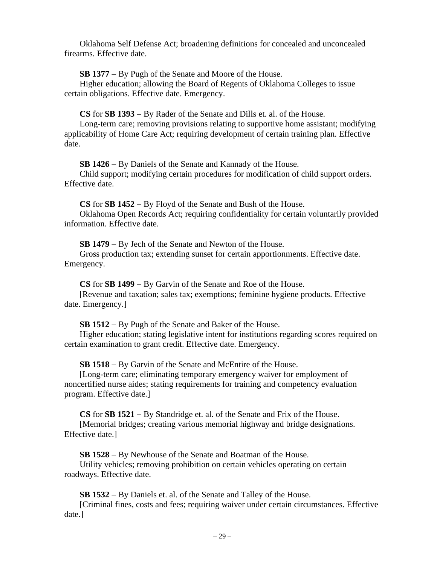Oklahoma Self Defense Act; broadening definitions for concealed and unconcealed firearms. Effective date.

**SB 1377** − By Pugh of the Senate and Moore of the House.

Higher education; allowing the Board of Regents of Oklahoma Colleges to issue certain obligations. Effective date. Emergency.

**CS** for **SB 1393** − By Rader of the Senate and Dills et. al. of the House.

Long-term care; removing provisions relating to supportive home assistant; modifying applicability of Home Care Act; requiring development of certain training plan. Effective date.

**SB 1426** − By Daniels of the Senate and Kannady of the House.

Child support; modifying certain procedures for modification of child support orders. Effective date.

**CS** for **SB 1452** − By Floyd of the Senate and Bush of the House.

Oklahoma Open Records Act; requiring confidentiality for certain voluntarily provided information. Effective date.

**SB 1479** − By Jech of the Senate and Newton of the House.

Gross production tax; extending sunset for certain apportionments. Effective date. Emergency.

**CS** for **SB 1499** − By Garvin of the Senate and Roe of the House.

[Revenue and taxation; sales tax; exemptions; feminine hygiene products. Effective date. Emergency.]

**SB 1512** − By Pugh of the Senate and Baker of the House.

Higher education; stating legislative intent for institutions regarding scores required on certain examination to grant credit. Effective date. Emergency.

**SB 1518** − By Garvin of the Senate and McEntire of the House.

[Long-term care; eliminating temporary emergency waiver for employment of noncertified nurse aides; stating requirements for training and competency evaluation program. Effective date.]

**CS** for **SB 1521** − By Standridge et. al. of the Senate and Frix of the House.

[Memorial bridges; creating various memorial highway and bridge designations. Effective date.]

**SB 1528** − By Newhouse of the Senate and Boatman of the House.

Utility vehicles; removing prohibition on certain vehicles operating on certain roadways. Effective date.

**SB 1532** − By Daniels et. al. of the Senate and Talley of the House.

[Criminal fines, costs and fees; requiring waiver under certain circumstances. Effective date.]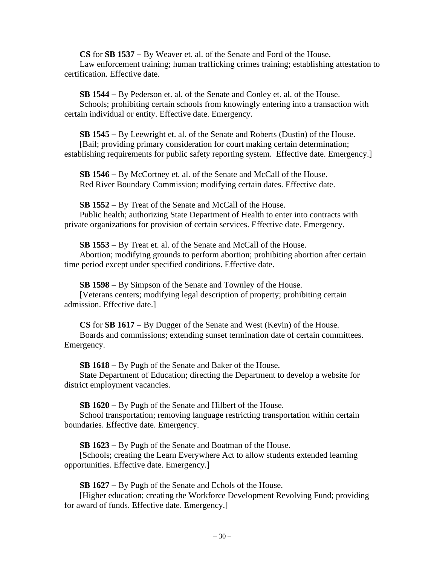**CS** for **SB 1537** − By Weaver et. al. of the Senate and Ford of the House.

Law enforcement training; human trafficking crimes training; establishing attestation to certification. Effective date.

**SB 1544** − By Pederson et. al. of the Senate and Conley et. al. of the House. Schools; prohibiting certain schools from knowingly entering into a transaction with certain individual or entity. Effective date. Emergency.

**SB 1545** − By Leewright et. al. of the Senate and Roberts (Dustin) of the House. [Bail; providing primary consideration for court making certain determination; establishing requirements for public safety reporting system. Effective date. Emergency.]

**SB 1546** − By McCortney et. al. of the Senate and McCall of the House. Red River Boundary Commission; modifying certain dates. Effective date.

**SB 1552** − By Treat of the Senate and McCall of the House.

Public health; authorizing State Department of Health to enter into contracts with private organizations for provision of certain services. Effective date. Emergency.

**SB 1553** − By Treat et. al. of the Senate and McCall of the House.

Abortion; modifying grounds to perform abortion; prohibiting abortion after certain time period except under specified conditions. Effective date.

**SB 1598** − By Simpson of the Senate and Townley of the House. [Veterans centers; modifying legal description of property; prohibiting certain admission. Effective date.]

**CS** for **SB 1617** − By Dugger of the Senate and West (Kevin) of the House. Boards and commissions; extending sunset termination date of certain committees. Emergency.

**SB 1618** − By Pugh of the Senate and Baker of the House.

State Department of Education; directing the Department to develop a website for district employment vacancies.

**SB 1620** − By Pugh of the Senate and Hilbert of the House.

School transportation; removing language restricting transportation within certain boundaries. Effective date. Emergency.

**SB 1623** − By Pugh of the Senate and Boatman of the House.

[Schools; creating the Learn Everywhere Act to allow students extended learning opportunities. Effective date. Emergency.]

**SB 1627** − By Pugh of the Senate and Echols of the House.

[Higher education; creating the Workforce Development Revolving Fund; providing for award of funds. Effective date. Emergency.]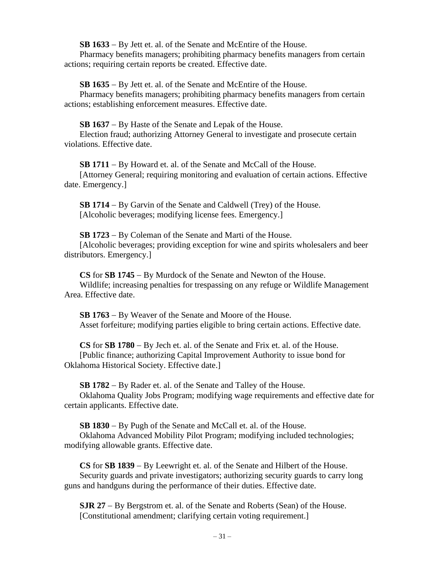**SB 1633** − By Jett et. al. of the Senate and McEntire of the House.

Pharmacy benefits managers; prohibiting pharmacy benefits managers from certain actions; requiring certain reports be created. Effective date.

**SB 1635** − By Jett et. al. of the Senate and McEntire of the House.

Pharmacy benefits managers; prohibiting pharmacy benefits managers from certain actions; establishing enforcement measures. Effective date.

**SB 1637** − By Haste of the Senate and Lepak of the House.

Election fraud; authorizing Attorney General to investigate and prosecute certain violations. Effective date.

**SB 1711** − By Howard et. al. of the Senate and McCall of the House.

[Attorney General; requiring monitoring and evaluation of certain actions. Effective date. Emergency.]

**SB 1714** − By Garvin of the Senate and Caldwell (Trey) of the House. [Alcoholic beverages; modifying license fees. Emergency.]

**SB 1723** − By Coleman of the Senate and Marti of the House. [Alcoholic beverages; providing exception for wine and spirits wholesalers and beer distributors. Emergency.]

**CS** for **SB 1745** − By Murdock of the Senate and Newton of the House.

Wildlife; increasing penalties for trespassing on any refuge or Wildlife Management Area. Effective date.

**SB 1763** − By Weaver of the Senate and Moore of the House. Asset forfeiture; modifying parties eligible to bring certain actions. Effective date.

**CS** for **SB 1780** − By Jech et. al. of the Senate and Frix et. al. of the House. [Public finance; authorizing Capital Improvement Authority to issue bond for Oklahoma Historical Society. Effective date.]

**SB 1782** − By Rader et. al. of the Senate and Talley of the House.

Oklahoma Quality Jobs Program; modifying wage requirements and effective date for certain applicants. Effective date.

**SB 1830** − By Pugh of the Senate and McCall et. al. of the House.

Oklahoma Advanced Mobility Pilot Program; modifying included technologies; modifying allowable grants. Effective date.

**CS** for **SB 1839** − By Leewright et. al. of the Senate and Hilbert of the House. Security guards and private investigators; authorizing security guards to carry long guns and handguns during the performance of their duties. Effective date.

**SJR 27** − By Bergstrom et. al. of the Senate and Roberts (Sean) of the House. [Constitutional amendment; clarifying certain voting requirement.]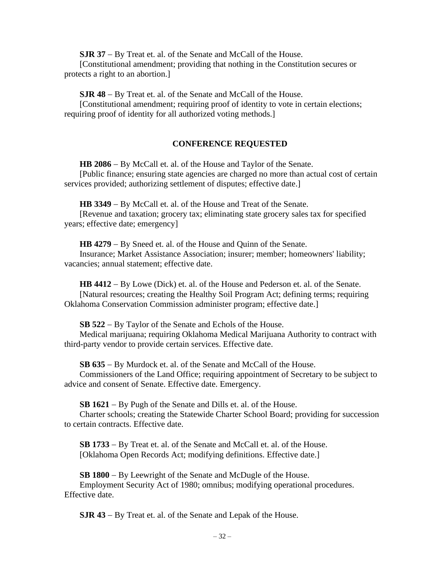**SJR 37** − By Treat et. al. of the Senate and McCall of the House.

[Constitutional amendment; providing that nothing in the Constitution secures or protects a right to an abortion.]

**SJR 48** − By Treat et. al. of the Senate and McCall of the House.

[Constitutional amendment; requiring proof of identity to vote in certain elections; requiring proof of identity for all authorized voting methods.]

## **CONFERENCE REQUESTED**

**HB 2086** − By McCall et. al. of the House and Taylor of the Senate. [Public finance; ensuring state agencies are charged no more than actual cost of certain

services provided; authorizing settlement of disputes; effective date.]

**HB 3349** − By McCall et. al. of the House and Treat of the Senate.

[Revenue and taxation; grocery tax; eliminating state grocery sales tax for specified years; effective date; emergency]

**HB 4279** − By Sneed et. al. of the House and Quinn of the Senate.

Insurance; Market Assistance Association; insurer; member; homeowners' liability; vacancies; annual statement; effective date.

**HB 4412** − By Lowe (Dick) et. al. of the House and Pederson et. al. of the Senate. [Natural resources; creating the Healthy Soil Program Act; defining terms; requiring Oklahoma Conservation Commission administer program; effective date.]

**SB 522** − By Taylor of the Senate and Echols of the House.

Medical marijuana; requiring Oklahoma Medical Marijuana Authority to contract with third-party vendor to provide certain services. Effective date.

**SB 635** − By Murdock et. al. of the Senate and McCall of the House.

Commissioners of the Land Office; requiring appointment of Secretary to be subject to advice and consent of Senate. Effective date. Emergency.

**SB 1621** − By Pugh of the Senate and Dills et. al. of the House.

Charter schools; creating the Statewide Charter School Board; providing for succession to certain contracts. Effective date.

**SB 1733** − By Treat et. al. of the Senate and McCall et. al. of the House. [Oklahoma Open Records Act; modifying definitions. Effective date.]

**SB 1800** − By Leewright of the Senate and McDugle of the House. Employment Security Act of 1980; omnibus; modifying operational procedures. Effective date.

**SJR 43** − By Treat et. al. of the Senate and Lepak of the House.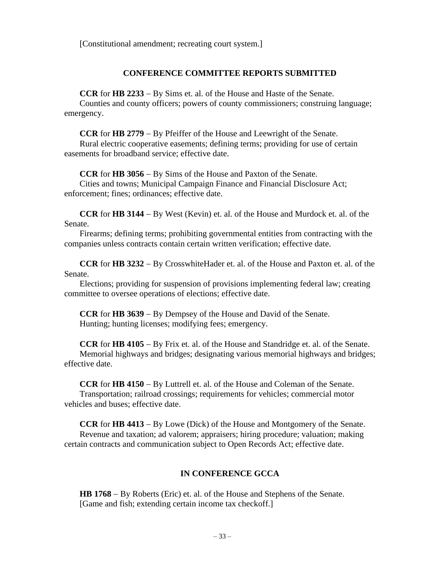[Constitutional amendment; recreating court system.]

## **CONFERENCE COMMITTEE REPORTS SUBMITTED**

**CCR** for **HB 2233** − By Sims et. al. of the House and Haste of the Senate.

Counties and county officers; powers of county commissioners; construing language; emergency.

**CCR** for **HB 2779** − By Pfeiffer of the House and Leewright of the Senate.

Rural electric cooperative easements; defining terms; providing for use of certain easements for broadband service; effective date.

**CCR** for **HB 3056** − By Sims of the House and Paxton of the Senate.

Cities and towns; Municipal Campaign Finance and Financial Disclosure Act; enforcement; fines; ordinances; effective date.

**CCR** for **HB 3144** − By West (Kevin) et. al. of the House and Murdock et. al. of the Senate.

Firearms; defining terms; prohibiting governmental entities from contracting with the companies unless contracts contain certain written verification; effective date.

**CCR** for **HB 3232** − By CrosswhiteHader et. al. of the House and Paxton et. al. of the Senate.

Elections; providing for suspension of provisions implementing federal law; creating committee to oversee operations of elections; effective date.

**CCR** for **HB 3639** − By Dempsey of the House and David of the Senate. Hunting; hunting licenses; modifying fees; emergency.

**CCR** for **HB 4105** − By Frix et. al. of the House and Standridge et. al. of the Senate. Memorial highways and bridges; designating various memorial highways and bridges; effective date.

**CCR** for **HB 4150** − By Luttrell et. al. of the House and Coleman of the Senate. Transportation; railroad crossings; requirements for vehicles; commercial motor vehicles and buses; effective date.

**CCR** for **HB 4413** − By Lowe (Dick) of the House and Montgomery of the Senate. Revenue and taxation; ad valorem; appraisers; hiring procedure; valuation; making certain contracts and communication subject to Open Records Act; effective date.

# **IN CONFERENCE GCCA**

**HB 1768** − By Roberts (Eric) et. al. of the House and Stephens of the Senate. [Game and fish; extending certain income tax checkoff.]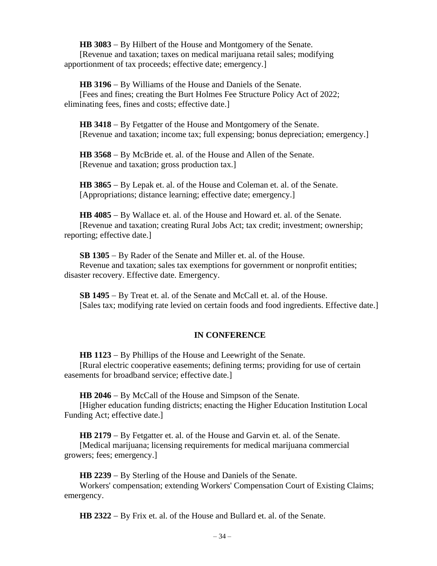**HB 3083** − By Hilbert of the House and Montgomery of the Senate. [Revenue and taxation; taxes on medical marijuana retail sales; modifying apportionment of tax proceeds; effective date; emergency.]

**HB 3196** − By Williams of the House and Daniels of the Senate. [Fees and fines; creating the Burt Holmes Fee Structure Policy Act of 2022; eliminating fees, fines and costs; effective date.]

**HB 3418** − By Fetgatter of the House and Montgomery of the Senate. [Revenue and taxation; income tax; full expensing; bonus depreciation; emergency.]

**HB 3568** − By McBride et. al. of the House and Allen of the Senate. [Revenue and taxation; gross production tax.]

**HB 3865** − By Lepak et. al. of the House and Coleman et. al. of the Senate. [Appropriations; distance learning; effective date; emergency.]

**HB 4085** − By Wallace et. al. of the House and Howard et. al. of the Senate. [Revenue and taxation; creating Rural Jobs Act; tax credit; investment; ownership; reporting; effective date.]

**SB 1305** − By Rader of the Senate and Miller et. al. of the House. Revenue and taxation; sales tax exemptions for government or nonprofit entities; disaster recovery. Effective date. Emergency.

**SB 1495** − By Treat et. al. of the Senate and McCall et. al. of the House. [Sales tax; modifying rate levied on certain foods and food ingredients. Effective date.]

## **IN CONFERENCE**

**HB 1123** − By Phillips of the House and Leewright of the Senate. [Rural electric cooperative easements; defining terms; providing for use of certain easements for broadband service; effective date.]

**HB 2046** − By McCall of the House and Simpson of the Senate.

[Higher education funding districts; enacting the Higher Education Institution Local Funding Act; effective date.]

**HB 2179** − By Fetgatter et. al. of the House and Garvin et. al. of the Senate.

[Medical marijuana; licensing requirements for medical marijuana commercial growers; fees; emergency.]

**HB 2239** − By Sterling of the House and Daniels of the Senate.

Workers' compensation; extending Workers' Compensation Court of Existing Claims; emergency.

**HB 2322** − By Frix et. al. of the House and Bullard et. al. of the Senate.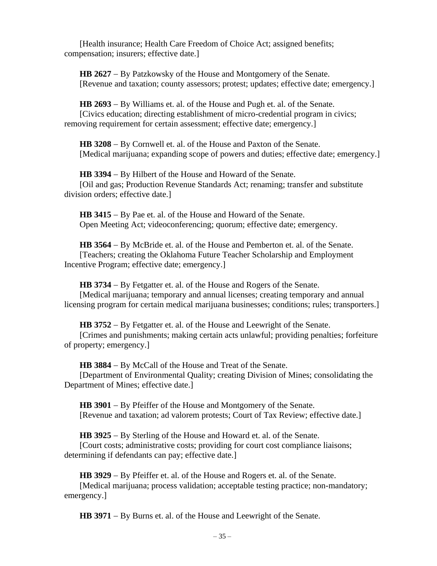[Health insurance; Health Care Freedom of Choice Act; assigned benefits; compensation; insurers; effective date.]

**HB 2627** − By Patzkowsky of the House and Montgomery of the Senate. [Revenue and taxation; county assessors; protest; updates; effective date; emergency.]

**HB 2693** − By Williams et. al. of the House and Pugh et. al. of the Senate. [Civics education; directing establishment of micro-credential program in civics; removing requirement for certain assessment; effective date; emergency.]

**HB 3208** − By Cornwell et. al. of the House and Paxton of the Senate. [Medical marijuana; expanding scope of powers and duties; effective date; emergency.]

**HB 3394** − By Hilbert of the House and Howard of the Senate. [Oil and gas; Production Revenue Standards Act; renaming; transfer and substitute division orders; effective date.]

**HB 3415** − By Pae et. al. of the House and Howard of the Senate. Open Meeting Act; videoconferencing; quorum; effective date; emergency.

**HB 3564** − By McBride et. al. of the House and Pemberton et. al. of the Senate. [Teachers; creating the Oklahoma Future Teacher Scholarship and Employment Incentive Program; effective date; emergency.]

**HB 3734** − By Fetgatter et. al. of the House and Rogers of the Senate. [Medical marijuana; temporary and annual licenses; creating temporary and annual licensing program for certain medical marijuana businesses; conditions; rules; transporters.]

**HB 3752** − By Fetgatter et. al. of the House and Leewright of the Senate. [Crimes and punishments; making certain acts unlawful; providing penalties; forfeiture of property; emergency.]

**HB 3884** − By McCall of the House and Treat of the Senate.

[Department of Environmental Quality; creating Division of Mines; consolidating the Department of Mines; effective date.]

**HB 3901** − By Pfeiffer of the House and Montgomery of the Senate. [Revenue and taxation; ad valorem protests; Court of Tax Review; effective date.]

**HB 3925** − By Sterling of the House and Howard et. al. of the Senate.

[Court costs; administrative costs; providing for court cost compliance liaisons; determining if defendants can pay; effective date.]

**HB 3929** − By Pfeiffer et. al. of the House and Rogers et. al. of the Senate.

[Medical marijuana; process validation; acceptable testing practice; non-mandatory; emergency.]

**HB 3971** − By Burns et. al. of the House and Leewright of the Senate.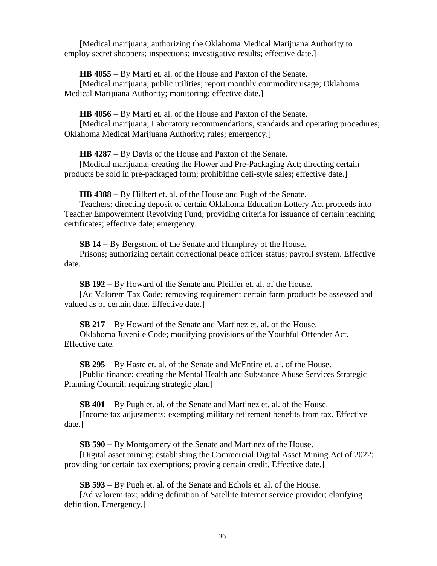[Medical marijuana; authorizing the Oklahoma Medical Marijuana Authority to employ secret shoppers; inspections; investigative results; effective date.

**HB 4055** − By Marti et. al. of the House and Paxton of the Senate.

[Medical marijuana; public utilities; report monthly commodity usage; Oklahoma Medical Marijuana Authority; monitoring; effective date.]

**HB 4056** − By Marti et. al. of the House and Paxton of the Senate.

[Medical marijuana; Laboratory recommendations, standards and operating procedures; Oklahoma Medical Marijuana Authority; rules; emergency.]

**HB 4287** − By Davis of the House and Paxton of the Senate.

[Medical marijuana; creating the Flower and Pre-Packaging Act; directing certain products be sold in pre-packaged form; prohibiting deli-style sales; effective date.]

**HB 4388** − By Hilbert et. al. of the House and Pugh of the Senate.

Teachers; directing deposit of certain Oklahoma Education Lottery Act proceeds into Teacher Empowerment Revolving Fund; providing criteria for issuance of certain teaching certificates; effective date; emergency.

**SB 14** − By Bergstrom of the Senate and Humphrey of the House.

Prisons; authorizing certain correctional peace officer status; payroll system. Effective date.

**SB 192** − By Howard of the Senate and Pfeiffer et. al. of the House. [Ad Valorem Tax Code; removing requirement certain farm products be assessed and valued as of certain date. Effective date.]

**SB 217** − By Howard of the Senate and Martinez et. al. of the House. Oklahoma Juvenile Code; modifying provisions of the Youthful Offender Act. Effective date.

**SB 295** − By Haste et. al. of the Senate and McEntire et. al. of the House. [Public finance; creating the Mental Health and Substance Abuse Services Strategic Planning Council; requiring strategic plan.]

**SB 401** − By Pugh et. al. of the Senate and Martinez et. al. of the House. [Income tax adjustments; exempting military retirement benefits from tax. Effective date.]

**SB 590** − By Montgomery of the Senate and Martinez of the House.

[Digital asset mining; establishing the Commercial Digital Asset Mining Act of 2022; providing for certain tax exemptions; proving certain credit. Effective date.]

**SB 593** − By Pugh et. al. of the Senate and Echols et. al. of the House.

[Ad valorem tax; adding definition of Satellite Internet service provider; clarifying definition. Emergency.]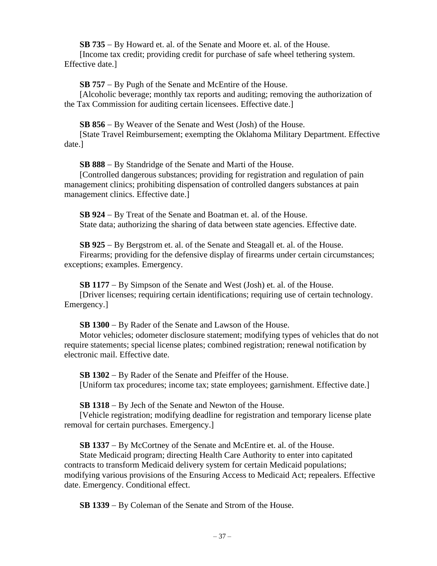**SB 735** − By Howard et. al. of the Senate and Moore et. al. of the House.

[Income tax credit; providing credit for purchase of safe wheel tethering system. Effective date.]

**SB 757** − By Pugh of the Senate and McEntire of the House.

[Alcoholic beverage; monthly tax reports and auditing; removing the authorization of the Tax Commission for auditing certain licensees. Effective date.]

**SB 856** − By Weaver of the Senate and West (Josh) of the House.

[State Travel Reimbursement; exempting the Oklahoma Military Department. Effective date.]

**SB 888** − By Standridge of the Senate and Marti of the House.

[Controlled dangerous substances; providing for registration and regulation of pain management clinics; prohibiting dispensation of controlled dangers substances at pain management clinics. Effective date.]

**SB 924** − By Treat of the Senate and Boatman et. al. of the House. State data; authorizing the sharing of data between state agencies. Effective date.

**SB 925** − By Bergstrom et. al. of the Senate and Steagall et. al. of the House. Firearms; providing for the defensive display of firearms under certain circumstances; exceptions; examples. Emergency.

**SB 1177** − By Simpson of the Senate and West (Josh) et. al. of the House. [Driver licenses; requiring certain identifications; requiring use of certain technology. Emergency.]

**SB 1300** − By Rader of the Senate and Lawson of the House.

Motor vehicles; odometer disclosure statement; modifying types of vehicles that do not require statements; special license plates; combined registration; renewal notification by electronic mail. Effective date.

**SB 1302** − By Rader of the Senate and Pfeiffer of the House. [Uniform tax procedures; income tax; state employees; garnishment. Effective date.]

**SB 1318** − By Jech of the Senate and Newton of the House.

[Vehicle registration; modifying deadline for registration and temporary license plate removal for certain purchases. Emergency.]

**SB 1337** − By McCortney of the Senate and McEntire et. al. of the House.

State Medicaid program; directing Health Care Authority to enter into capitated contracts to transform Medicaid delivery system for certain Medicaid populations; modifying various provisions of the Ensuring Access to Medicaid Act; repealers. Effective date. Emergency. Conditional effect.

**SB 1339** − By Coleman of the Senate and Strom of the House.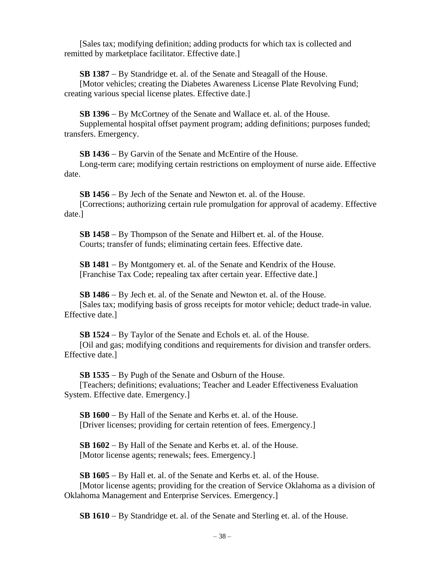[Sales tax; modifying definition; adding products for which tax is collected and remitted by marketplace facilitator. Effective date.]

**SB 1387** − By Standridge et. al. of the Senate and Steagall of the House.

[Motor vehicles; creating the Diabetes Awareness License Plate Revolving Fund; creating various special license plates. Effective date.]

**SB 1396** − By McCortney of the Senate and Wallace et. al. of the House. Supplemental hospital offset payment program; adding definitions; purposes funded; transfers. Emergency.

**SB 1436** − By Garvin of the Senate and McEntire of the House.

Long-term care; modifying certain restrictions on employment of nurse aide. Effective date.

**SB 1456** − By Jech of the Senate and Newton et. al. of the House.

[Corrections; authorizing certain rule promulgation for approval of academy. Effective date.]

**SB 1458** − By Thompson of the Senate and Hilbert et. al. of the House. Courts; transfer of funds; eliminating certain fees. Effective date.

**SB 1481** − By Montgomery et. al. of the Senate and Kendrix of the House. [Franchise Tax Code; repealing tax after certain year. Effective date.]

**SB 1486** − By Jech et. al. of the Senate and Newton et. al. of the House. [Sales tax; modifying basis of gross receipts for motor vehicle; deduct trade-in value. Effective date.]

**SB 1524** − By Taylor of the Senate and Echols et. al. of the House.

[Oil and gas; modifying conditions and requirements for division and transfer orders. Effective date.]

**SB 1535** − By Pugh of the Senate and Osburn of the House.

[Teachers; definitions; evaluations; Teacher and Leader Effectiveness Evaluation System. Effective date. Emergency.]

**SB 1600** − By Hall of the Senate and Kerbs et. al. of the House. [Driver licenses; providing for certain retention of fees. Emergency.]

**SB 1602** − By Hall of the Senate and Kerbs et. al. of the House. [Motor license agents; renewals; fees. Emergency.]

**SB 1605** − By Hall et. al. of the Senate and Kerbs et. al. of the House. [Motor license agents; providing for the creation of Service Oklahoma as a division of Oklahoma Management and Enterprise Services. Emergency.]

**SB 1610** − By Standridge et. al. of the Senate and Sterling et. al. of the House.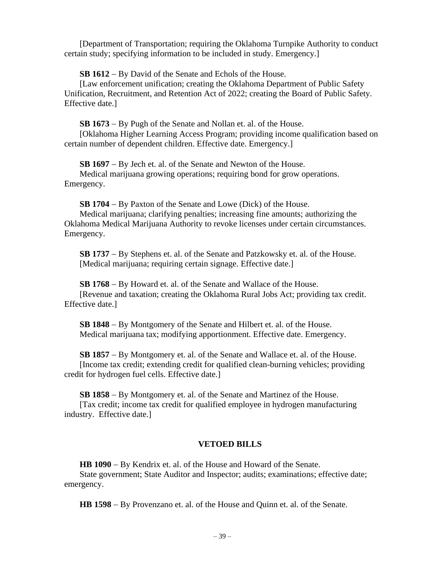[Department of Transportation; requiring the Oklahoma Turnpike Authority to conduct certain study; specifying information to be included in study. Emergency.]

**SB 1612** − By David of the Senate and Echols of the House.

[Law enforcement unification; creating the Oklahoma Department of Public Safety Unification, Recruitment, and Retention Act of 2022; creating the Board of Public Safety. Effective date.]

**SB 1673** − By Pugh of the Senate and Nollan et. al. of the House.

[Oklahoma Higher Learning Access Program; providing income qualification based on certain number of dependent children. Effective date. Emergency.]

**SB 1697** − By Jech et. al. of the Senate and Newton of the House.

Medical marijuana growing operations; requiring bond for grow operations. Emergency.

**SB 1704** − By Paxton of the Senate and Lowe (Dick) of the House.

Medical marijuana; clarifying penalties; increasing fine amounts; authorizing the Oklahoma Medical Marijuana Authority to revoke licenses under certain circumstances. Emergency.

**SB 1737** − By Stephens et. al. of the Senate and Patzkowsky et. al. of the House. [Medical marijuana; requiring certain signage. Effective date.]

**SB 1768** − By Howard et. al. of the Senate and Wallace of the House. [Revenue and taxation; creating the Oklahoma Rural Jobs Act; providing tax credit. Effective date.]

**SB 1848** − By Montgomery of the Senate and Hilbert et. al. of the House. Medical marijuana tax; modifying apportionment. Effective date. Emergency.

**SB 1857** − By Montgomery et. al. of the Senate and Wallace et. al. of the House. [Income tax credit; extending credit for qualified clean-burning vehicles; providing credit for hydrogen fuel cells. Effective date.]

**SB 1858** − By Montgomery et. al. of the Senate and Martinez of the House. [Tax credit; income tax credit for qualified employee in hydrogen manufacturing industry. Effective date.]

# **VETOED BILLS**

**HB 1090** − By Kendrix et. al. of the House and Howard of the Senate. State government; State Auditor and Inspector; audits; examinations; effective date; emergency.

**HB 1598** − By Provenzano et. al. of the House and Quinn et. al. of the Senate.